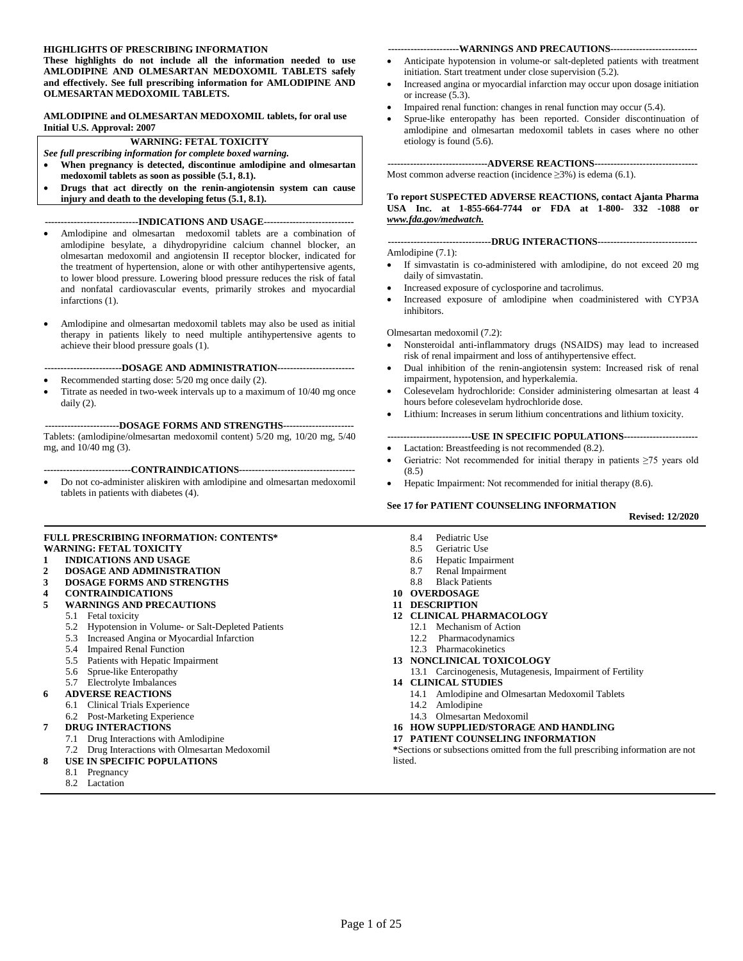#### **HIGHLIGHTS OF PRESCRIBING INFORMATION**

**These highlights do not include all the information needed to use AMLODIPINE AND OLMESARTAN MEDOXOMIL TABLETS safely and effectively. See full prescribing information for AMLODIPINE AND OLMESARTAN MEDOXOMIL TABLETS.** 

**AMLODIPINE and OLMESARTAN MEDOXOMIL tablets, for oral use Initial U.S. Approval: 2007**

#### **WARNING: FETAL TOXICITY**

#### *See full prescribing information for complete boxed warning.*

- **When pregnancy is detected, discontinue amlodipine and olmesartan medoxomil tablets as soon as possible [\(5.1](#page-3-0), [8.1](#page-10-0)).**
- **Drugs that act directly on the renin-angiotensin system can cause injury and death to the developing fetus ([5.1,](#page-3-4) [8.1](#page-10-0)).**

**-----------------------------INDICATIONS AND USAGE----------------------------**

- Amlodipine and olmesartan medoxomil tablets are a combination of amlodipine besylate, a dihydropyridine calcium channel blocker, an olmesartan medoxomil and angiotensin II receptor blocker, indicated for the treatment of hypertension, alone or with other antihypertensive agents, to lower blood pressure. Lowering blood pressure reduces the risk of fatal and nonfatal cardiovascular events, primarily strokes and myocardial infarctions [\(1\).](#page-1-0)
- Amlodipine and olmesartan medoxomil tablets may also be used as initial therapy in patients likely to need multiple antihypertensive agents to achieve their blood pressure goals [\(1\)](#page-1-0).

**------------------------DOSAGE AND ADMINISTRATION------------------------**

- Recommended starting dose:  $5/20$  mg once daily [\(2\).](#page-3-1)
- Titrate as needed in two-week intervals up to a maximum of 10/40 mg once daily [\(2\)](#page-3-1).

**-----------------------DOSAGE FORMS AND STRENGTHS----------------------** Tablets: (amlodipine/olmesartan medoxomil content) 5/20 mg, 10/20 mg, 5/40

mg, and 10/40 mg [\(3\).](#page-3-2)

**---------------------------CONTRAINDICATIONS------------------------------------**

• Do not co-administer aliskiren with amlodipine and olmesartan medoxomil tablets in patients with diabetes [\(4\)](#page-3-3).

#### **FULL PRESCRIBING INFORMATION: CONTENTS\***

#### **[WARNING: FETAL TOXICITY](#page-1-1)**

- **1 [INDICATIONS AND USAGE](#page-1-2)**
- **2 [DOSAGE AND ADMINISTRATION](#page-3-1)**
- **3 [DOSAGE FORMS AND STRENGTHS](#page-3-2)**
- **4 [CONTRAINDICATIONS](#page-3-5)**

#### **5 [WARNINGS AND PRECAUTIONS](#page-4-3)**

- 5.1 [Fetal toxicity](#page-4-3)
- 5.2 [Hypotension in Volume- or Salt-Depleted Patients](#page-4-0)
- 5.3 [Increased Angina or Myocardial Infarction](#page-4-1)
- 5.4 [Impaired Renal Function](#page-4-2)
- 5.5 [Patients with Hepatic Impairment](#page-5-4)
- 5.6 [Sprue-like Enteropathy](#page-5-0)
- 5.7 [Electrolyte Imbalances](#page-5-5)
- **6 [ADVERSE REACTIONS](#page-5-2)** 
	- 6.1 [Clinical Trials Experience](#page-5-3)
	- 6.2 [Post-Marketing Experience](#page-8-0)
- **7 [DRUG INTERACTIONS](#page-9-4)** 
	- 7.1 [Drug Interactions with Amlodipine](#page-9-2)
	- 7.2 [Drug Interactions with Olmesartan Medoxomil](#page-9-3)

#### **8 [USE IN SPECIFIC POPULATIONS](#page-10-1)**

- 8.1 [Pregnancy](#page-10-2)
- 8.2 [Lactation](#page-12-2)

#### **----------------------WARNINGS AND PRECAUTIONS---------------------------**

- Anticipate hypotension in volume-or salt-depleted patients with treatment initiation. Start treatment under close supervision [\(5.2\)](#page-4-0).
- Increased angina or myocardial infarction may occur upon dosage initiation or increase [\(5.3\).](#page-4-1)
- Impaired renal function: changes in renal function may occur [\(5.4\).](#page-4-2)
- Sprue-like enteropathy has been reported. Consider discontinuation of amlodipine and olmesartan medoxomil tablets in cases where no other etiology is found [\(5.6\).](#page-5-0)

**-------------------------------ADVERSE REACTIONS--------------------------------**

#### Most common adverse reaction (incidence  $\geq 3\%$ ) is edema [\(6.1\)](#page-5-1).

#### **To report SUSPECTED ADVERSE REACTIONS, contact Ajanta Pharma USA Inc. at 1-855-664-7744 or FDA at 1-800- 332 -1088 or**  *www.fda.gov/medwatch.*

**--------------------------------DRUG INTERACTIONS-------------------------------** Amlodipine [\(7.1\):](#page-9-0)

- If simvastatin is co-administered with amlodipine, do not exceed 20 mg daily of simvastatin.
- Increased exposure of cyclosporine and tacrolimus.
- Increased exposure of amlodipine when coadministered with CYP3A inhibitors.

#### Olmesartan medoxomil [\(7.2\):](#page-9-1)

- Nonsteroidal anti-inflammatory drugs (NSAIDS) may lead to increased risk of renal impairment and loss of antihypertensive effect.
- Dual inhibition of the renin-angiotensin system: Increased risk of renal impairment, hypotension, and hyperkalemia.
- Colesevelam hydrochloride: Consider administering olmesartan at least 4 hours before colesevelam hydrochloride dose.
- Lithium: Increases in serum lithium concentrations and lithium toxicity.

#### **--------------------------USE IN SPECIFIC POPULATIONS-----------------------**

- Lactation: Breastfeeding is not recommended [\(8.2\)](#page-11-0).
- Geriatric: Not recommended for initial therapy in patients ≥75 years old  $(8.5)$
- Hepatic Impairment: Not recommended for initial therapy [\(8.6\)](#page-12-1).

#### **See 17 for PATIENT COUNSELING INFORMATION**

 **Revised: 12/2020**

- 8.4 [Pediatric Use](#page-12-3)
- 8.5 [Geriatric Use](#page-12-5)
- 8.6 [Hepatic Impairment](#page-12-4)
- 8.7 Renal Impairment
- 8.8 [Black Patients](#page-13-0)
- **10 [OVERDOSAGE](#page-13-1)**
- **11 [DESCRIPTION](#page-14-0)**
- **12 CLINICAL [PHARMACOLOGY](#page-15-0)** 
	- 12.1 [Mechanism of Action](#page-15-1)
	- 12.2 [Pharmacodynamics](#page-16-0)
	- 12.3 [Pharmacokinetics](#page-17-0)
- **13 [NONCLINICAL TOXICOLOGY](#page-21-0)**
- 13.1 [Carcinogenesis, Mutagenesis, Impairment of Fertility](#page-21-1)
- **14 [CLINICAL STUDIES](#page-22-0)** 
	- 14.1 [Amlodipine and Olmesartan Medoxomil Tablets](#page-21-2)
	- 14.2 [Amlodipine](#page-23-0)
- 14.3 [Olmesartan Medoxomil](#page-23-1) **16 [HOW SUPPLIED/STORAGE AND HANDLING](#page-23-2)**
- 
- **17 [PATIENT COUNSELING INFORMATION](#page-24-0)**

**\***Sections or subsections omitted from the full prescribing information are not listed.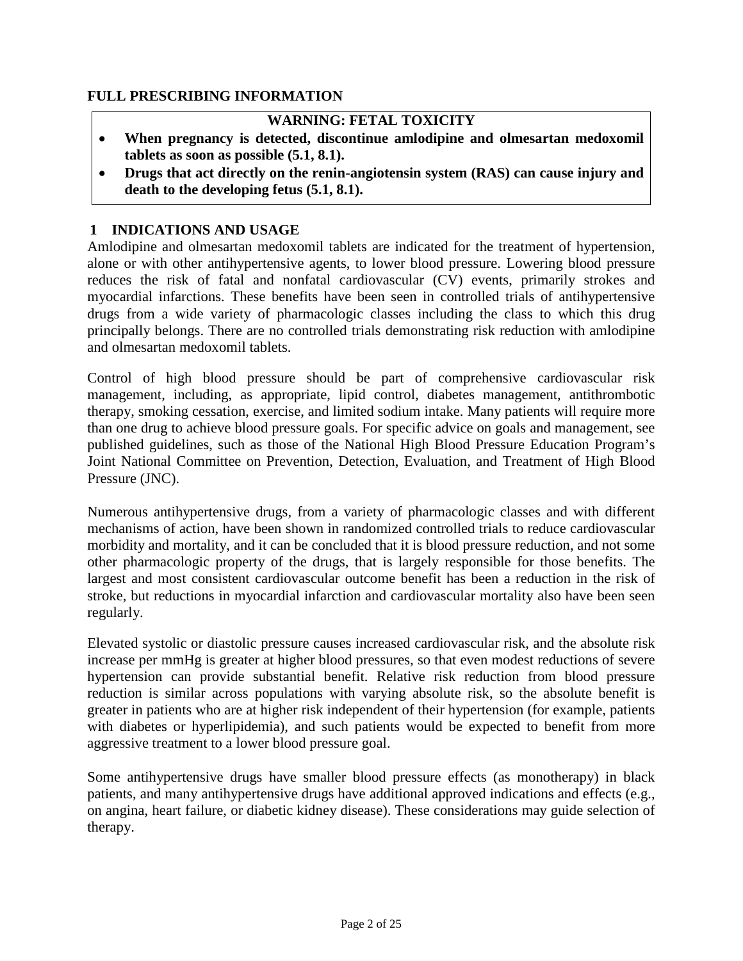## <span id="page-1-1"></span>**FULL PRESCRIBING INFORMATION**

# **WARNING: FETAL TOXICITY**

- **When pregnancy is detected, discontinue amlodipine and olmesartan medoxomil tablets as soon as possible [\(5.1,](#page-3-6) [8.1](#page-10-0)).**
- **Drugs that act directly on the renin-angiotensin system (RAS) can cause injury and death to the developing fetus [\(5.1,](#page-3-6) [8.1](#page-10-0)).**

## **1 INDICATIONS AND USAGE**

<span id="page-1-2"></span><span id="page-1-0"></span>Amlodipine and olmesartan medoxomil tablets are indicated for the treatment of hypertension, alone or with other antihypertensive agents, to lower blood pressure. Lowering blood pressure reduces the risk of fatal and nonfatal cardiovascular (CV) events, primarily strokes and myocardial infarctions. These benefits have been seen in controlled trials of antihypertensive drugs from a wide variety of pharmacologic classes including the class to which this drug principally belongs. There are no controlled trials demonstrating risk reduction with amlodipine and olmesartan medoxomil tablets.

Control of high blood pressure should be part of comprehensive cardiovascular risk management, including, as appropriate, lipid control, diabetes management, antithrombotic therapy, smoking cessation, exercise, and limited sodium intake. Many patients will require more than one drug to achieve blood pressure goals. For specific advice on goals and management, see published guidelines, such as those of the National High Blood Pressure Education Program's Joint National Committee on Prevention, Detection, Evaluation, and Treatment of High Blood Pressure (JNC).

Numerous antihypertensive drugs, from a variety of pharmacologic classes and with different mechanisms of action, have been shown in randomized controlled trials to reduce cardiovascular morbidity and mortality, and it can be concluded that it is blood pressure reduction, and not some other pharmacologic property of the drugs, that is largely responsible for those benefits. The largest and most consistent cardiovascular outcome benefit has been a reduction in the risk of stroke, but reductions in myocardial infarction and cardiovascular mortality also have been seen regularly.

Elevated systolic or diastolic pressure causes increased cardiovascular risk, and the absolute risk increase per mmHg is greater at higher blood pressures, so that even modest reductions of severe hypertension can provide substantial benefit. Relative risk reduction from blood pressure reduction is similar across populations with varying absolute risk, so the absolute benefit is greater in patients who are at higher risk independent of their hypertension (for example, patients with diabetes or hyperlipidemia), and such patients would be expected to benefit from more aggressive treatment to a lower blood pressure goal.

Some antihypertensive drugs have smaller blood pressure effects (as monotherapy) in black patients, and many antihypertensive drugs have additional approved indications and effects (e.g., on angina, heart failure, or diabetic kidney disease). These considerations may guide selection of therapy.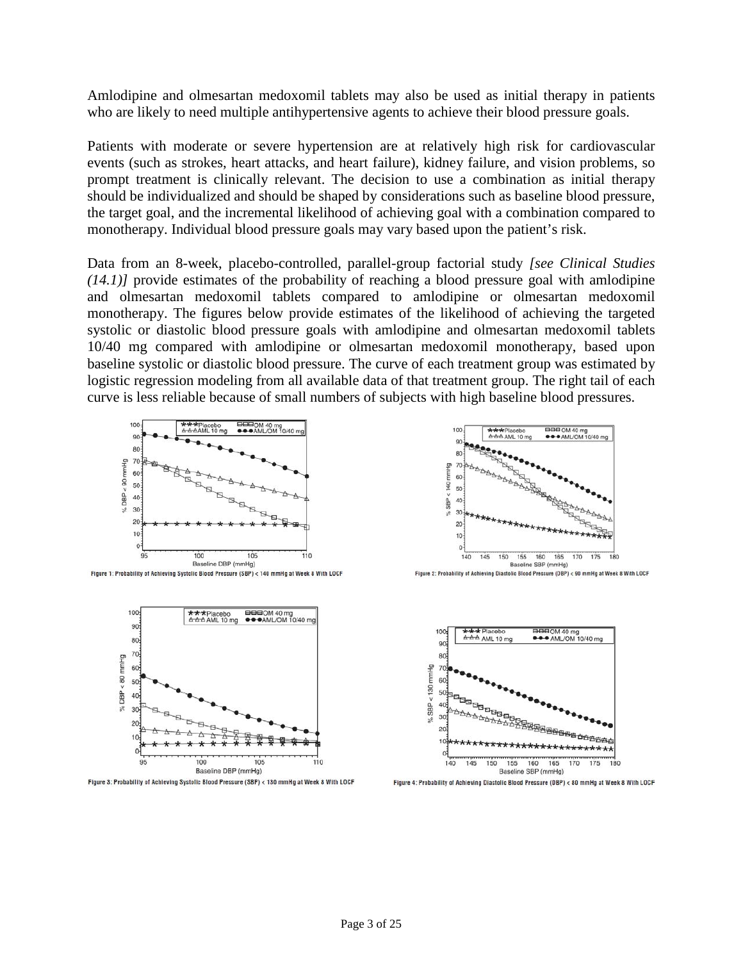Amlodipine and olmesartan medoxomil tablets may also be used as initial therapy in patients who are likely to need multiple antihypertensive agents to achieve their blood pressure goals.

Patients with moderate or severe hypertension are at relatively high risk for cardiovascular events (such as strokes, heart attacks, and heart failure), kidney failure, and vision problems, so prompt treatment is clinically relevant. The decision to use a combination as initial therapy should be individualized and should be shaped by considerations such as baseline blood pressure, the target goal, and the incremental likelihood of achieving goal with a combination compared to monotherapy. Individual blood pressure goals may vary based upon the patient's risk.

Data from an 8-week, placebo-controlled, parallel-group factorial study *[see Clinical Studies ([14.1\)](#page-21-3)]* provide estimates of the probability of reaching a blood pressure goal with amlodipine and olmesartan medoxomil tablets compared to amlodipine or olmesartan medoxomil monotherapy. The figures below provide estimates of the likelihood of achieving the targeted systolic or diastolic blood pressure goals with amlodipine and olmesartan medoxomil tablets 10/40 mg compared with amlodipine or olmesartan medoxomil monotherapy, based upon baseline systolic or diastolic blood pressure. The curve of each treatment group was estimated by logistic regression modeling from all available data of that treatment group. The right tail of each curve is less reliable because of small numbers of subjects with high baseline blood pressures.



Figure 1: Probability of Achieving Systolic Blood Pressure (SBP) < 140 mmHg at Week 8 With LOCF



Figure 3: Probability of Achieving Systolic Blood Pressure (SBP) < 130 mmHg at Week 8 With LOCF





Figure 4: Probability of Achieving Diastolic Blood Pressure (DBP) < 80 mmHg at Week 8 With LOCF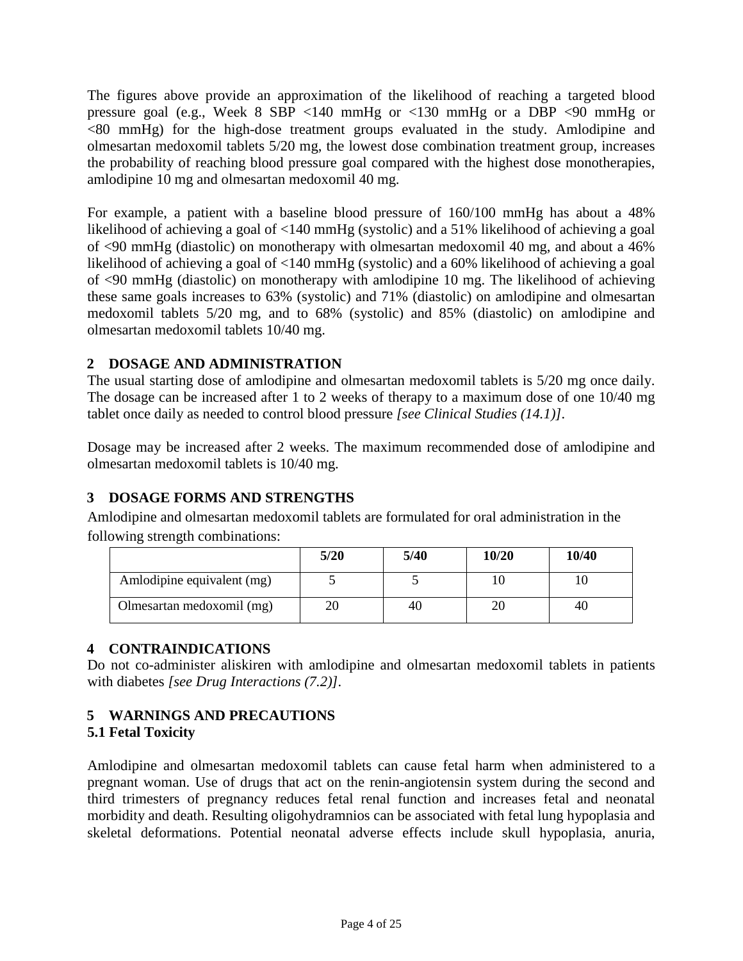<span id="page-3-6"></span><span id="page-3-4"></span>The figures above provide an approximation of the likelihood of reaching a targeted blood pressure goal (e.g., Week 8 SBP <140 mmHg or <130 mmHg or a DBP <90 mmHg or  $\sim$  80 mmHg) for the high-dose treatment groups evaluated in the study. Amlodipine and olmesartan medoxomil tablets 5/20 mg, the lowest dose combination treatment group, increases the probability of reaching blood pressure goal compared with the highest dose monotherapies, amlodipine 10 mg and olmesartan medoxomil 40 mg.

For example, a patient with a baseline blood pressure of 160/100 mmHg has about a 48% likelihood of achieving a goal of <140 mmHg (systolic) and a 51% likelihood of achieving a goal of <90 mmHg (diastolic) on monotherapy with olmesartan medoxomil 40 mg, and about a 46% likelihood of achieving a goal of <140 mmHg (systolic) and a 60% likelihood of achieving a goal of <90 mmHg (diastolic) on monotherapy with amlodipine 10 mg. The likelihood of achieving these same goals increases to 63% (systolic) and 71% (diastolic) on amlodipine and olmesartan medoxomil tablets 5/20 mg, and to 68% (systolic) and 85% (diastolic) on amlodipine and olmesartan medoxomil tablets 10/40 mg.

# <span id="page-3-1"></span>**2 DOSAGE AND ADMINISTRATION**

The usual starting dose of amlodipine and olmesartan medoxomil tablets is 5/20 mg once daily. The dosage can be increased after 1 to 2 weeks of therapy to a maximum dose of one 10/40 mg tablet once daily as needed to control blood pressure *[see Clinical Studies [\(14.1\)\]](#page-21-4).*

Dosage may be increased after 2 weeks. The maximum recommended dose of amlodipine and olmesartan medoxomil tablets is 10/40 mg.

# <span id="page-3-2"></span>**3 DOSAGE FORMS AND STRENGTHS**

Amlodipine and olmesartan medoxomil tablets are formulated for oral administration in the following strength combinations:

|                            | 5/20 | 5/40 | 10/20 | 10/40 |
|----------------------------|------|------|-------|-------|
| Amlodipine equivalent (mg) |      |      |       |       |
| Olmesartan medoxomil (mg)  |      | 40   |       | 40    |

# <span id="page-3-5"></span><span id="page-3-3"></span>**4 CONTRAINDICATIONS**

Do not co-administer aliskiren with amlodipine and olmesartan medoxomil tablets in patients with diabetes *[see Drug Interactions [\(7.2\)\]](#page-9-1).*

# <span id="page-3-0"></span>**5 WARNINGS AND PRECAUTIONS**

# **5.1 Fetal Toxicity**

Amlodipine and olmesartan medoxomil tablets can cause fetal harm when administered to a pregnant woman. Use of drugs that act on the renin-angiotensin system during the second and third trimesters of pregnancy reduces fetal renal function and increases fetal and neonatal morbidity and death. Resulting oligohydramnios can be associated with fetal lung hypoplasia and skeletal deformations. Potential neonatal adverse effects include skull hypoplasia, anuria,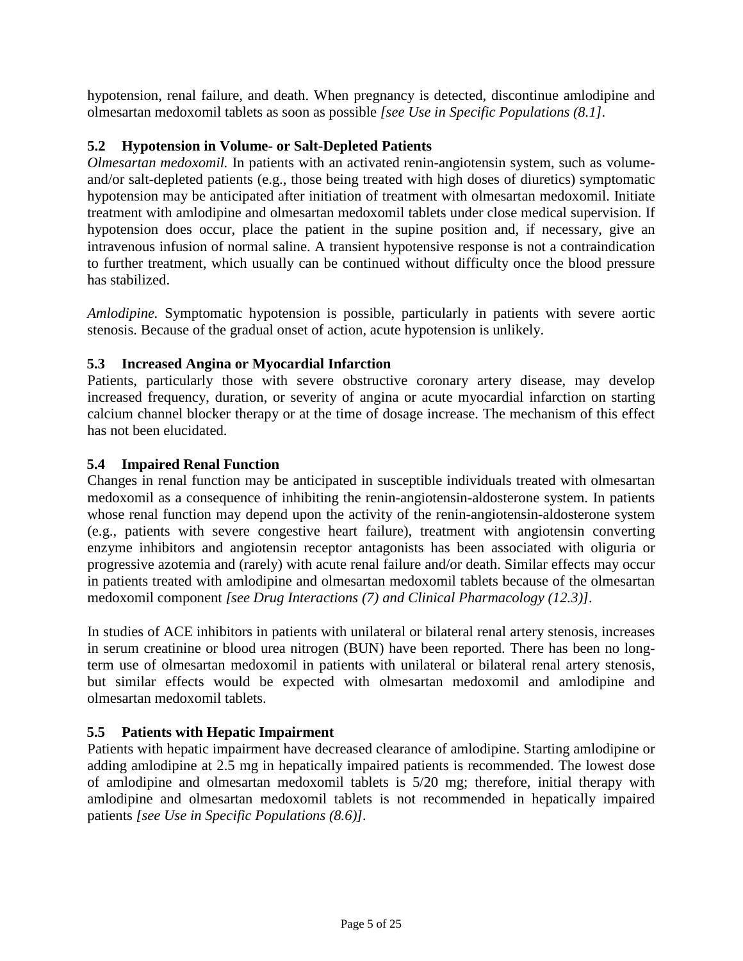<span id="page-4-3"></span>hypotension, renal failure, and death. When pregnancy is detected, discontinue amlodipine and olmesartan medoxomil tablets as soon as possible *[see Use in Specific Populations [\(8.1\]](#page-10-0).* 

## <span id="page-4-0"></span>**5.2 Hypotension in Volume- or Salt-Depleted Patients**

*Olmesartan medoxomil.* In patients with an activated renin-angiotensin system, such as volumeand/or salt-depleted patients (e.g., those being treated with high doses of diuretics) symptomatic hypotension may be anticipated after initiation of treatment with olmesartan medoxomil. Initiate treatment with amlodipine and olmesartan medoxomil tablets under close medical supervision. If hypotension does occur, place the patient in the supine position and, if necessary, give an intravenous infusion of normal saline. A transient hypotensive response is not a contraindication to further treatment, which usually can be continued without difficulty once the blood pressure has stabilized.

*Amlodipine.* Symptomatic hypotension is possible, particularly in patients with severe aortic stenosis. Because of the gradual onset of action, acute hypotension is unlikely.

## <span id="page-4-1"></span>**5.3 Increased Angina or Myocardial Infarction**

Patients, particularly those with severe obstructive coronary artery disease, may develop increased frequency, duration, or severity of angina or acute myocardial infarction on starting calcium channel blocker therapy or at the time of dosage increase. The mechanism of this effect has not been elucidated.

## <span id="page-4-2"></span>**5.4 Impaired Renal Function**

Changes in renal function may be anticipated in susceptible individuals treated with olmesartan medoxomil as a consequence of inhibiting the renin-angiotensin-aldosterone system. In patients whose renal function may depend upon the activity of the renin-angiotensin-aldosterone system (e.g., patients with severe congestive heart failure), treatment with angiotensin converting enzyme inhibitors and angiotensin receptor antagonists has been associated with oliguria or progressive azotemia and (rarely) with acute renal failure and/or death. Similar effects may occur in patients treated with amlodipine and olmesartan medoxomil tablets because of the olmesartan medoxomil component *[see Drug Interactions [\(7\)](#page-9-5) and Clinical Pharmacology [\(12.3\)\]](#page-17-1).*

In studies of ACE inhibitors in patients with unilateral or bilateral renal artery stenosis, increases in serum creatinine or blood urea nitrogen (BUN) have been reported. There has been no longterm use of olmesartan medoxomil in patients with unilateral or bilateral renal artery stenosis, but similar effects would be expected with olmesartan medoxomil and amlodipine and olmesartan medoxomil tablets.

# **5.5 Patients with Hepatic Impairment**

Patients with hepatic impairment have decreased clearance of amlodipine. Starting amlodipine or adding amlodipine at 2.5 mg in hepatically impaired patients is recommended. The lowest dose of amlodipine and olmesartan medoxomil tablets is 5/20 mg; therefore, initial therapy with amlodipine and olmesartan medoxomil tablets is not recommended in hepatically impaired patients *[see Use in Specific Populations [\(8.6\)](#page-12-4)].*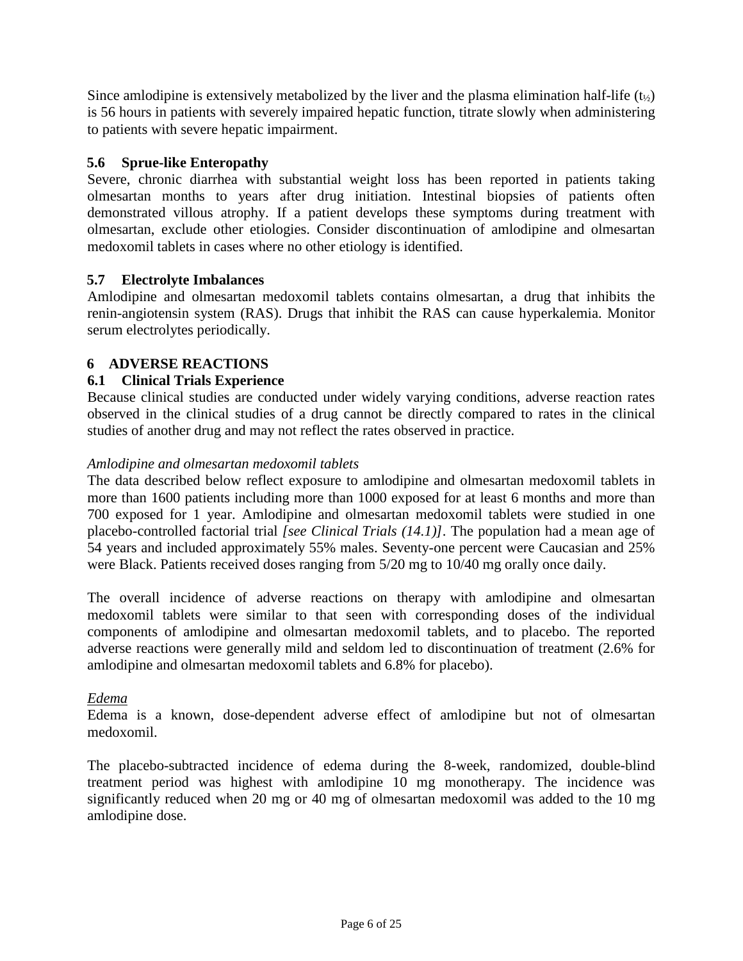<span id="page-5-6"></span><span id="page-5-4"></span>Since amlodipine is extensively metabolized by the liver and the plasma elimination half-life  $(t_{\frac{1}{2}})$ is 56 hours in patients with severely impaired hepatic function, titrate slowly when administering to patients with severe hepatic impairment.

# <span id="page-5-0"></span>**5.6 Sprue-like Enteropathy**

Severe, chronic diarrhea with substantial weight loss has been reported in patients taking olmesartan months to years after drug initiation. Intestinal biopsies of patients often demonstrated villous atrophy. If a patient develops these symptoms during treatment with olmesartan, exclude other etiologies. Consider discontinuation of amlodipine and olmesartan medoxomil tablets in cases where no other etiology is identified.

# <span id="page-5-5"></span>**5.7 Electrolyte Imbalances**

Amlodipine and olmesartan medoxomil tablets contains olmesartan, a drug that inhibits the renin-angiotensin system (RAS). Drugs that inhibit the RAS can cause hyperkalemia. Monitor serum electrolytes periodically.

# <span id="page-5-2"></span>**6 ADVERSE REACTIONS**

# <span id="page-5-3"></span><span id="page-5-1"></span>**6.1 Clinical Trials Experience**

Because clinical studies are conducted under widely varying conditions, adverse reaction rates observed in the clinical studies of a drug cannot be directly compared to rates in the clinical studies of another drug and may not reflect the rates observed in practice.

# *Amlodipine and olmesartan medoxomil tablets*

The data described below reflect exposure to amlodipine and olmesartan medoxomil tablets in more than 1600 patients including more than 1000 exposed for at least 6 months and more than 700 exposed for 1 year. Amlodipine and olmesartan medoxomil tablets were studied in one placebo-controlled factorial trial *[see Clinical Trials [\(14.1\)\]](#page-21-2)*. The population had a mean age of 54 years and included approximately 55% males. Seventy-one percent were Caucasian and 25% were Black. Patients received doses ranging from 5/20 mg to 10/40 mg orally once daily.

The overall incidence of adverse reactions on therapy with amlodipine and olmesartan medoxomil tablets were similar to that seen with corresponding doses of the individual components of amlodipine and olmesartan medoxomil tablets, and to placebo. The reported adverse reactions were generally mild and seldom led to discontinuation of treatment (2.6% for amlodipine and olmesartan medoxomil tablets and 6.8% for placebo).

# *Edema*

Edema is a known, dose-dependent adverse effect of amlodipine but not of olmesartan medoxomil.

The placebo-subtracted incidence of edema during the 8-week, randomized, double-blind treatment period was highest with amlodipine 10 mg monotherapy. The incidence was significantly reduced when 20 mg or 40 mg of olmesartan medoxomil was added to the 10 mg amlodipine dose.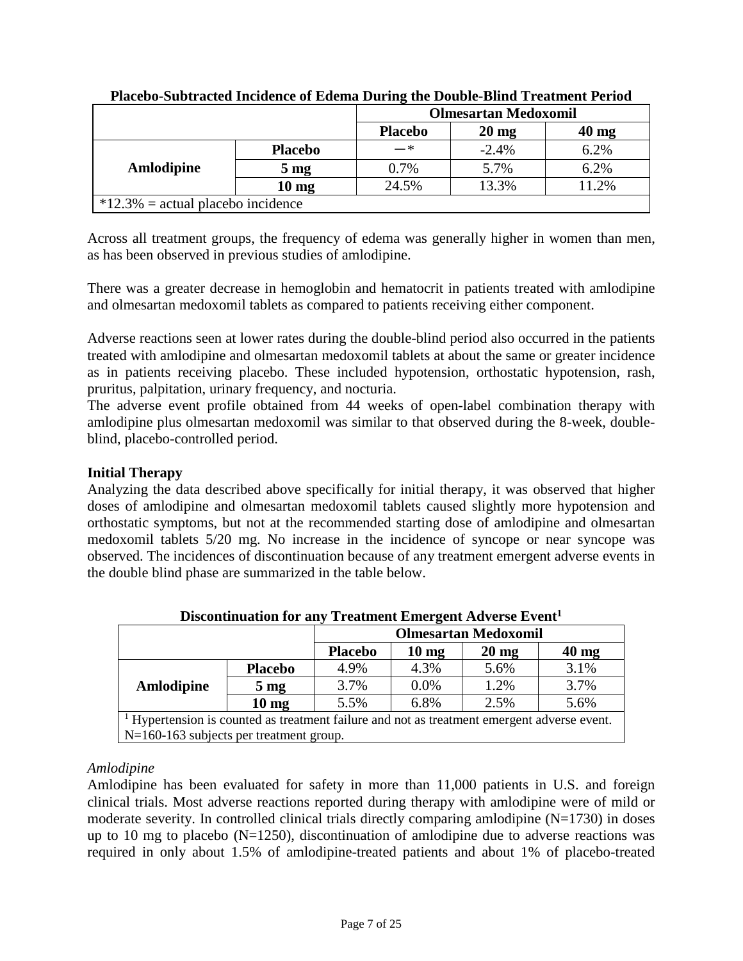|                                      |                  | <b>Olmesartan Medoxomil</b> |                 |                 |
|--------------------------------------|------------------|-----------------------------|-----------------|-----------------|
|                                      |                  | <b>Placebo</b>              | $20 \text{ mg}$ | $40 \text{ mg}$ |
|                                      | <b>Placebo</b>   | $-*$                        | $-2.4%$         | 6.2%            |
| Amlodipine                           | 5 <sub>mg</sub>  | 0.7%                        | 5.7%            | 6.2%            |
|                                      | 10 <sub>mg</sub> | 24.5%                       | 13.3%           | 11.2%           |
| $*12.3\%$ = actual placebo incidence |                  |                             |                 |                 |

# **Placebo-Subtracted Incidence of Edema During the Double-Blind Treatment Period**

Across all treatment groups, the frequency of edema was generally higher in women than men, as has been observed in previous studies of amlodipine.

There was a greater decrease in hemoglobin and hematocrit in patients treated with amlodipine and olmesartan medoxomil tablets as compared to patients receiving either component.

Adverse reactions seen at lower rates during the double-blind period also occurred in the patients treated with amlodipine and olmesartan medoxomil tablets at about the same or greater incidence as in patients receiving placebo. These included hypotension, orthostatic hypotension, rash, pruritus, palpitation, urinary frequency, and nocturia.

The adverse event profile obtained from 44 weeks of open-label combination therapy with amlodipine plus olmesartan medoxomil was similar to that observed during the 8-week, doubleblind, placebo-controlled period.

## **Initial Therapy**

Analyzing the data described above specifically for initial therapy, it was observed that higher doses of amlodipine and olmesartan medoxomil tablets caused slightly more hypotension and orthostatic symptoms, but not at the recommended starting dose of amlodipine and olmesartan medoxomil tablets 5/20 mg. No increase in the incidence of syncope or near syncope was observed. The incidences of discontinuation because of any treatment emergent adverse events in the double blind phase are summarized in the table below.

|                                                                                                        |                  | <b>Olmesartan Medoxomil</b> |                 |                 |                 |  |
|--------------------------------------------------------------------------------------------------------|------------------|-----------------------------|-----------------|-----------------|-----------------|--|
|                                                                                                        |                  | <b>Placebo</b>              | $10 \text{ mg}$ | $20 \text{ mg}$ | $40 \text{ mg}$ |  |
|                                                                                                        | <b>Placebo</b>   | 4.9%                        | 4.3%            | 5.6%            | 3.1%            |  |
| Amlodipine                                                                                             | $5 \text{ mg}$   | 3.7%                        | $0.0\%$         | 1.2%            | 3.7%            |  |
|                                                                                                        | 10 <sub>mg</sub> | 2.5%<br>5.5%<br>6.8%        | 5.6%            |                 |                 |  |
| <sup>1</sup> Hypertension is counted as treatment failure and not as treatment emergent adverse event. |                  |                             |                 |                 |                 |  |
| $N=160-163$ subjects per treatment group.                                                              |                  |                             |                 |                 |                 |  |

**Discontinuation for any Treatment Emergent Adverse Event1**

### *Amlodipine*

Amlodipine has been evaluated for safety in more than 11,000 patients in U.S. and foreign clinical trials. Most adverse reactions reported during therapy with amlodipine were of mild or moderate severity. In controlled clinical trials directly comparing amlodipine (N=1730) in doses up to 10 mg to placebo ( $N=1250$ ), discontinuation of amlodipine due to adverse reactions was required in only about 1.5% of amlodipine-treated patients and about 1% of placebo-treated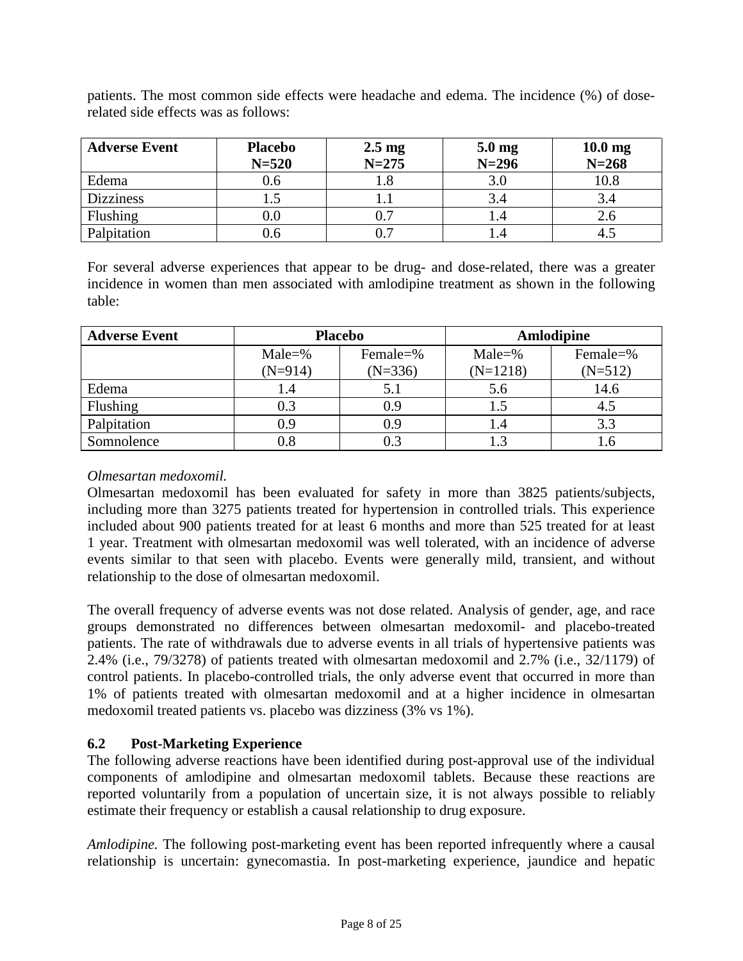| <b>Adverse Event</b> | <b>Placebo</b> | $2.5 \text{ mg}$ | $5.0 \text{ mg}$ | $10.0 \text{ mg}$ |
|----------------------|----------------|------------------|------------------|-------------------|
|                      | $N = 520$      | $N = 275$        | $N = 296$        | $N = 268$         |
| Edema                | 0.6            |                  | 3.0              | 10.8              |
| <b>Dizziness</b>     | 1.J            |                  |                  | 3.4               |
| Flushing             | 0.0            |                  |                  | 2.6               |
| Palpitation          | U.6            |                  |                  | 4.5               |

patients. The most common side effects were headache and edema. The incidence (%) of doserelated side effects was as follows:

For several adverse experiences that appear to be drug- and dose-related, there was a greater incidence in women than men associated with amlodipine treatment as shown in the following table:

| <b>Adverse Event</b> | <b>Placebo</b> |           | Amlodipine |           |
|----------------------|----------------|-----------|------------|-----------|
|                      | $Male = %$     | Female=%  | $Male = %$ | Female=%  |
|                      | $(N=914)$      | $(N=336)$ | $(N=1218)$ | $(N=512)$ |
| Edema                | 1.4            | 5.1       | 5.6        | 14.6      |
| Flushing             | 0.3            | 0.9       | 1.5        | 4.5       |
| Palpitation          | 0.9            | 0.9       | 1.4        | 3.3       |
| Somnolence           | 0.8            | 0.3       | 1.3        | l.6       |

# *Olmesartan medoxomil.*

Olmesartan medoxomil has been evaluated for safety in more than 3825 patients/subjects, including more than 3275 patients treated for hypertension in controlled trials. This experience included about 900 patients treated for at least 6 months and more than 525 treated for at least 1 year. Treatment with olmesartan medoxomil was well tolerated, with an incidence of adverse events similar to that seen with placebo. Events were generally mild, transient, and without relationship to the dose of olmesartan medoxomil.

The overall frequency of adverse events was not dose related. Analysis of gender, age, and race groups demonstrated no differences between olmesartan medoxomil- and placebo-treated patients. The rate of withdrawals due to adverse events in all trials of hypertensive patients was 2.4% (i.e., 79/3278) of patients treated with olmesartan medoxomil and 2.7% (i.e., 32/1179) of control patients. In placebo-controlled trials, the only adverse event that occurred in more than 1% of patients treated with olmesartan medoxomil and at a higher incidence in olmesartan medoxomil treated patients vs. placebo was dizziness (3% vs 1%).

# **6.2 Post-Marketing Experience**

The following adverse reactions have been identified during post-approval use of the individual components of amlodipine and olmesartan medoxomil tablets. Because these reactions are reported voluntarily from a population of uncertain size, it is not always possible to reliably estimate their frequency or establish a causal relationship to drug exposure.

*Amlodipine.* The following post-marketing event has been reported infrequently where a causal relationship is uncertain: gynecomastia. In post-marketing experience, jaundice and hepatic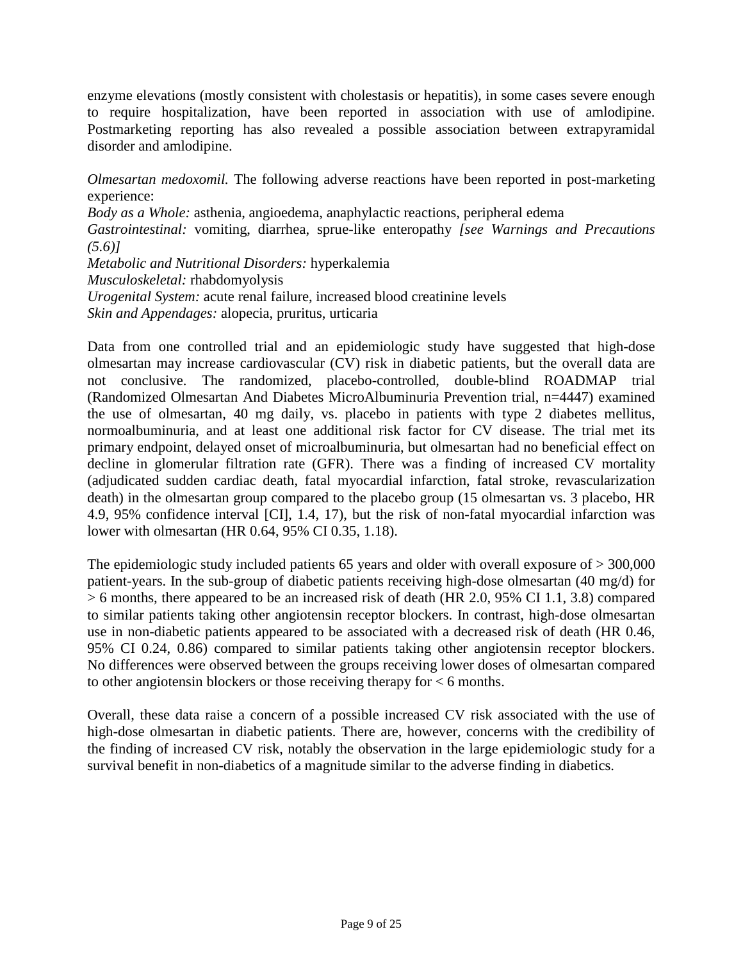<span id="page-8-0"></span>enzyme elevations (mostly consistent with cholestasis or hepatitis), in some cases severe enough to require hospitalization, have been reported in association with use of amlodipine. Postmarketing reporting has also revealed a possible association between extrapyramidal disorder and amlodipine.

*Olmesartan medoxomil.* The following adverse reactions have been reported in post-marketing experience:

*Body as a Whole:* asthenia, angioedema, anaphylactic reactions, peripheral edema *Gastrointestinal:* vomiting, diarrhea, sprue-like enteropathy *[see Warnings and Precautions [\(5.6\)\]](#page-5-0)*

*Metabolic and Nutritional Disorders:* hyperkalemia

*Musculoskeletal:* rhabdomyolysis

*Urogenital System:* acute renal failure, increased blood creatinine levels

*Skin and Appendages:* alopecia, pruritus, urticaria

Data from one controlled trial and an epidemiologic study have suggested that high-dose olmesartan may increase cardiovascular (CV) risk in diabetic patients, but the overall data are not conclusive. The randomized, placebo-controlled, double-blind ROADMAP trial (Randomized Olmesartan And Diabetes MicroAlbuminuria Prevention trial, n=4447) examined the use of olmesartan, 40 mg daily, vs. placebo in patients with type 2 diabetes mellitus, normoalbuminuria, and at least one additional risk factor for CV disease. The trial met its primary endpoint, delayed onset of microalbuminuria, but olmesartan had no beneficial effect on decline in glomerular filtration rate (GFR). There was a finding of increased CV mortality (adjudicated sudden cardiac death, fatal myocardial infarction, fatal stroke, revascularization death) in the olmesartan group compared to the placebo group (15 olmesartan vs. 3 placebo, HR 4.9, 95% confidence interval [CI], 1.4, 17), but the risk of non-fatal myocardial infarction was lower with olmesartan (HR 0.64, 95% CI 0.35, 1.18).

The epidemiologic study included patients 65 years and older with overall exposure of  $> 300,000$ patient-years. In the sub-group of diabetic patients receiving high-dose olmesartan (40 mg/d) for > 6 months, there appeared to be an increased risk of death (HR 2.0, 95% CI 1.1, 3.8) compared to similar patients taking other angiotensin receptor blockers. In contrast, high-dose olmesartan use in non-diabetic patients appeared to be associated with a decreased risk of death (HR 0.46, 95% CI 0.24, 0.86) compared to similar patients taking other angiotensin receptor blockers. No differences were observed between the groups receiving lower doses of olmesartan compared to other angiotensin blockers or those receiving therapy for < 6 months.

Overall, these data raise a concern of a possible increased CV risk associated with the use of high-dose olmesartan in diabetic patients. There are, however, concerns with the credibility of the finding of increased CV risk, notably the observation in the large epidemiologic study for a survival benefit in non-diabetics of a magnitude similar to the adverse finding in diabetics.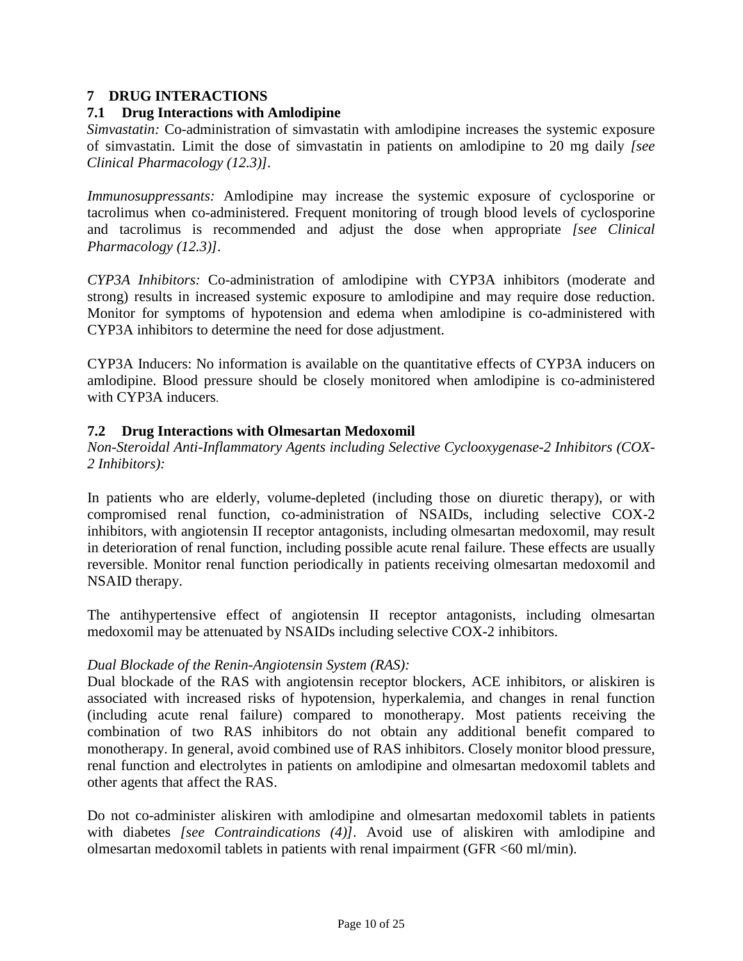# <span id="page-9-5"></span><span id="page-9-4"></span>**7 DRUG INTERACTIONS**

# <span id="page-9-2"></span><span id="page-9-0"></span>**7.1 Drug Interactions with Amlodipine**

*Simvastatin:* Co-administration of simvastatin with amlodipine increases the systemic exposure of simvastatin. Limit the dose of simvastatin in patients on amlodipine to 20 mg daily *[see Clinical Pharmacology [\(12.3\)\]](#page-17-1).* 

*Immunosuppressants:* Amlodipine may increase the systemic exposure of cyclosporine or tacrolimus when co-administered. Frequent monitoring of trough blood levels of cyclosporine and tacrolimus is recommended and adjust the dose when appropriate *[see Clinical Pharmacology [\(12.3\)\]](#page-17-1).*

*CYP3A Inhibitors:* Co-administration of amlodipine with CYP3A inhibitors (moderate and strong) results in increased systemic exposure to amlodipine and may require dose reduction. Monitor for symptoms of hypotension and edema when amlodipine is co-administered with CYP3A inhibitors to determine the need for dose adjustment.

CYP3A Inducers: No information is available on the quantitative effects of CYP3A inducers on amlodipine. Blood pressure should be closely monitored when amlodipine is co-administered with CYP3A inducers.

# <span id="page-9-3"></span><span id="page-9-1"></span>**7.2 Drug Interactions with Olmesartan Medoxomil**

*Non-Steroidal Anti-Inflammatory Agents including Selective Cyclooxygenase-2 Inhibitors (COX-2 Inhibitors):* 

In patients who are elderly, volume-depleted (including those on diuretic therapy), or with compromised renal function, co-administration of NSAIDs, including selective COX-2 inhibitors, with angiotensin II receptor antagonists, including olmesartan medoxomil, may result in deterioration of renal function, including possible acute renal failure. These effects are usually reversible. Monitor renal function periodically in patients receiving olmesartan medoxomil and NSAID therapy.

The antihypertensive effect of angiotensin II receptor antagonists, including olmesartan medoxomil may be attenuated by NSAIDs including selective COX-2 inhibitors.

### *Dual Blockade of the Renin-Angiotensin System (RAS):*

Dual blockade of the RAS with angiotensin receptor blockers, ACE inhibitors, or aliskiren is associated with increased risks of hypotension, hyperkalemia, and changes in renal function (including acute renal failure) compared to monotherapy. Most patients receiving the combination of two RAS inhibitors do not obtain any additional benefit compared to monotherapy. In general, avoid combined use of RAS inhibitors. Closely monitor blood pressure, renal function and electrolytes in patients on amlodipine and olmesartan medoxomil tablets and other agents that affect the RAS.

Do not co-administer aliskiren with amlodipine and olmesartan medoxomil tablets in patients with diabetes *[see Contraindications [\(4\)\]](#page-3-3)*. Avoid use of aliskiren with amlodipine and olmesartan medoxomil tablets in patients with renal impairment (GFR <60 ml/min).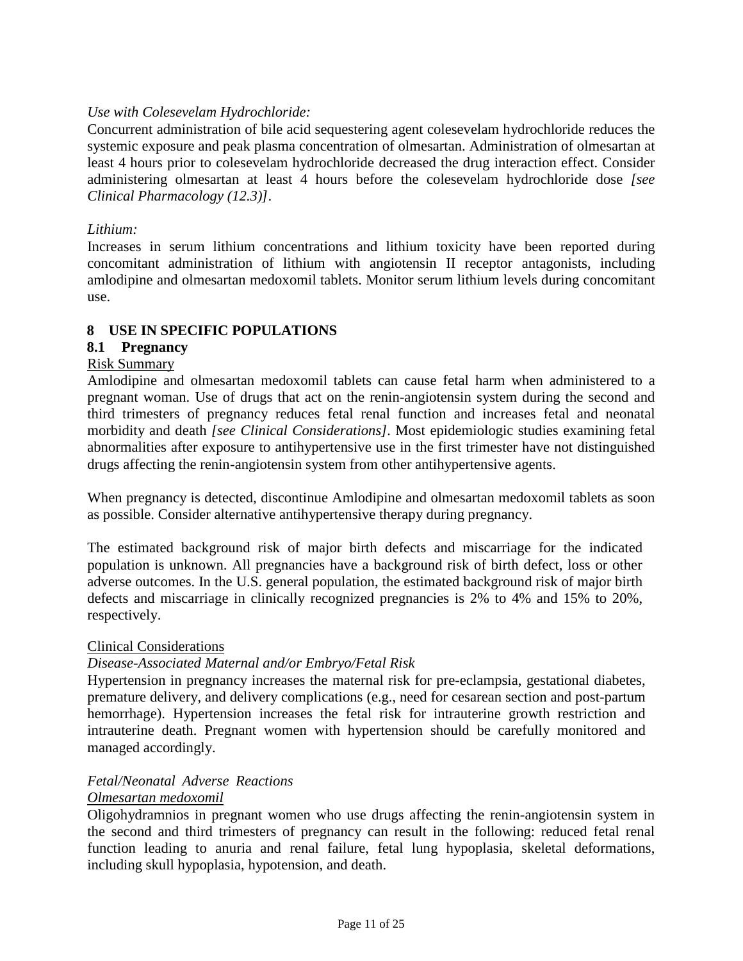## *Use with Colesevelam Hydrochloride:*

Concurrent administration of bile acid sequestering agent colesevelam hydrochloride reduces the systemic exposure and peak plasma concentration of olmesartan. Administration of olmesartan at least 4 hours prior to colesevelam hydrochloride decreased the drug interaction effect. Consider administering olmesartan at least 4 hours before the colesevelam hydrochloride dose *[see Clinical Pharmacology [\(12.3\)\]](#page-17-1)*.

#### *Lithium:*

Increases in serum lithium concentrations and lithium toxicity have been reported during concomitant administration of lithium with angiotensin II receptor antagonists, including amlodipine and olmesartan medoxomil tablets. Monitor serum lithium levels during concomitant use.

## <span id="page-10-1"></span>**8 USE IN SPECIFIC POPULATIONS**

### <span id="page-10-2"></span><span id="page-10-0"></span>**8.1 Pregnancy**

### Risk Summary

<span id="page-10-3"></span>Amlodipine and olmesartan medoxomil tablets can cause fetal harm when administered to a pregnant woman. Use of drugs that act on the renin-angiotensin system during the second and third trimesters of pregnancy reduces fetal renal function and increases fetal and neonatal morbidity and death *[\[see Clinical Considerations](#page-10-3)].* Most epidemiologic studies examining fetal abnormalities after exposure to antihypertensive use in the first trimester have not distinguished drugs affecting the renin-angiotensin system from other antihypertensive agents.

When pregnancy is detected, discontinue Amlodipine and olmesartan medoxomil tablets as soon as possible. Consider alternative antihypertensive therapy during pregnancy.

The estimated background risk of major birth defects and miscarriage for the indicated population is unknown. All pregnancies have a background risk of birth defect, loss or other adverse outcomes. In the U.S. general population, the estimated background risk of major birth defects and miscarriage in clinically recognized pregnancies is 2% to 4% and 15% to 20%, respectively.

### Clinical Considerations

### *Disease-Associated Maternal and/or Embryo/Fetal Risk*

Hypertension in pregnancy increases the maternal risk for pre-eclampsia, gestational diabetes, premature delivery, and delivery complications (e.g., need for cesarean section and post-partum hemorrhage). Hypertension increases the fetal risk for intrauterine growth restriction and intrauterine death. Pregnant women with hypertension should be carefully monitored and managed accordingly.

## *Fetal/Neonatal Adverse Reactions Olmesartan medoxomil*

Oligohydramnios in pregnant women who use drugs affecting the renin-angiotensin system in the second and third trimesters of pregnancy can result in the following: reduced fetal renal function leading to anuria and renal failure, fetal lung hypoplasia, skeletal deformations, including skull hypoplasia, hypotension, and death.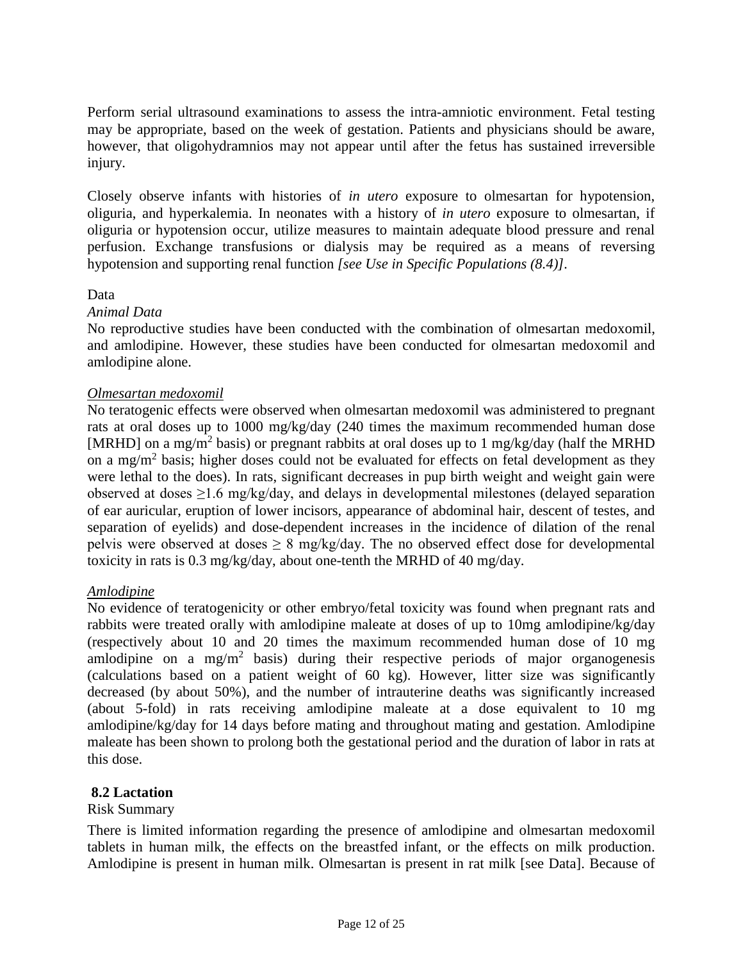<span id="page-11-1"></span>Perform serial ultrasound examinations to assess the intra-amniotic environment. Fetal testing may be appropriate, based on the week of gestation. Patients and physicians should be aware, however, that oligohydramnios may not appear until after the fetus has sustained irreversible injury.

Closely observe infants with histories of *in utero* exposure to olmesartan for hypotension, oliguria, and hyperkalemia. In neonates with a history of *in utero* exposure to olmesartan, if oliguria or hypotension occur, utilize measures to maintain adequate blood pressure and renal perfusion. Exchange transfusions or dialysis may be required as a means of reversing hypotension and supporting renal function *[see Use in Specific Populations [\(8.4\)\]](#page-12-6).* 

## Data

## *Animal Data*

No reproductive studies have been conducted with the combination of olmesartan medoxomil, and amlodipine. However, these studies have been conducted for olmesartan medoxomil and amlodipine alone.

## *Olmesartan medoxomil*

No teratogenic effects were observed when olmesartan medoxomil was administered to pregnant rats at oral doses up to 1000 mg/kg/day (240 times the maximum recommended human dose [MRHD] on a mg/m<sup>2</sup> basis) or pregnant rabbits at oral doses up to 1 mg/kg/day (half the MRHD on a mg/m<sup>2</sup> basis; higher doses could not be evaluated for effects on fetal development as they were lethal to the does). In rats, significant decreases in pup birth weight and weight gain were observed at doses  $\geq$ 1.6 mg/kg/day, and delays in developmental milestones (delayed separation of ear auricular, eruption of lower incisors, appearance of abdominal hair, descent of testes, and separation of eyelids) and dose-dependent increases in the incidence of dilation of the renal pelvis were observed at doses  $\geq 8$  mg/kg/day. The no observed effect dose for developmental toxicity in rats is 0.3 mg/kg/day, about one-tenth the MRHD of 40 mg/day.

# *Amlodipine*

No evidence of teratogenicity or other embryo/fetal toxicity was found when pregnant rats and rabbits were treated orally with amlodipine maleate at doses of up to 10mg amlodipine/kg/day (respectively about 10 and 20 times the maximum recommended human dose of 10 mg amlodipine on a mg/m<sup>2</sup> basis) during their respective periods of major organogenesis (calculations based on a patient weight of 60 kg). However, litter size was significantly decreased (by about 50%), and the number of intrauterine deaths was significantly increased (about 5-fold) in rats receiving amlodipine maleate at a dose equivalent to 10 mg amlodipine/kg/day for 14 days before mating and throughout mating and gestation. Amlodipine maleate has been shown to prolong both the gestational period and the duration of labor in rats at this dose.

# <span id="page-11-0"></span>**8.2 Lactation**

### Risk Summary

There is limited information regarding the presence of amlodipine and olmesartan medoxomil tablets in human milk, the effects on the breastfed infant, or the effects on milk production. Amlodipine is present in human milk. Olmesartan is present in rat milk [[see Data\]](#page-12-7). Because of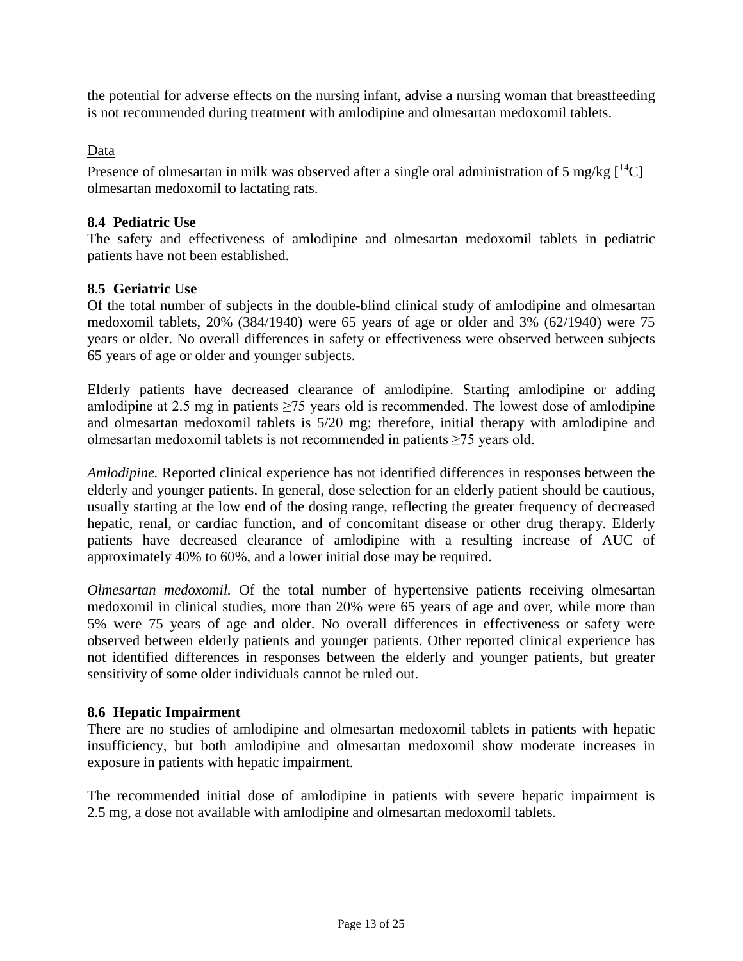<span id="page-12-7"></span><span id="page-12-4"></span><span id="page-12-2"></span>the potential for adverse effects on the nursing infant, advise a nursing woman that breastfeeding is not recommended during treatment with amlodipine and olmesartan medoxomil tablets.

### Data

Presence of olmesartan in milk was observed after a single oral administration of 5 mg/kg  $\lceil {^{14}C} \rceil$ olmesartan medoxomil to lactating rats.

### <span id="page-12-6"></span><span id="page-12-3"></span>**8.4 Pediatric Use**

The safety and effectiveness of amlodipine and olmesartan medoxomil tablets in pediatric patients have not been established.

## <span id="page-12-5"></span><span id="page-12-0"></span>**8.5 Geriatric Use**

Of the total number of subjects in the double-blind clinical study of amlodipine and olmesartan medoxomil tablets, 20% (384/1940) were 65 years of age or older and 3% (62/1940) were 75 years or older. No overall differences in safety or effectiveness were observed between subjects 65 years of age or older and younger subjects.

Elderly patients have decreased clearance of amlodipine. Starting amlodipine or adding amlodipine at 2.5 mg in patients  $\geq$ 75 years old is recommended. The lowest dose of amlodipine and olmesartan medoxomil tablets is 5/20 mg; therefore, initial therapy with amlodipine and olmesartan medoxomil tablets is not recommended in patients ≥75 years old.

*Amlodipine.* Reported clinical experience has not identified differences in responses between the elderly and younger patients. In general, dose selection for an elderly patient should be cautious, usually starting at the low end of the dosing range, reflecting the greater frequency of decreased hepatic, renal, or cardiac function, and of concomitant disease or other drug therapy. Elderly patients have decreased clearance of amlodipine with a resulting increase of AUC of approximately 40% to 60%, and a lower initial dose may be required.

*Olmesartan medoxomil.* Of the total number of hypertensive patients receiving olmesartan medoxomil in clinical studies, more than 20% were 65 years of age and over, while more than 5% were 75 years of age and older. No overall differences in effectiveness or safety were observed between elderly patients and younger patients. Other reported clinical experience has not identified differences in responses between the elderly and younger patients, but greater sensitivity of some older individuals cannot be ruled out.

### <span id="page-12-1"></span>**8.6 Hepatic Impairment**

There are no studies of amlodipine and olmesartan medoxomil tablets in patients with hepatic insufficiency, but both amlodipine and olmesartan medoxomil show moderate increases in exposure in patients with hepatic impairment.

The recommended initial dose of amlodipine in patients with severe hepatic impairment is 2.5 mg, a dose not available with amlodipine and olmesartan medoxomil tablets.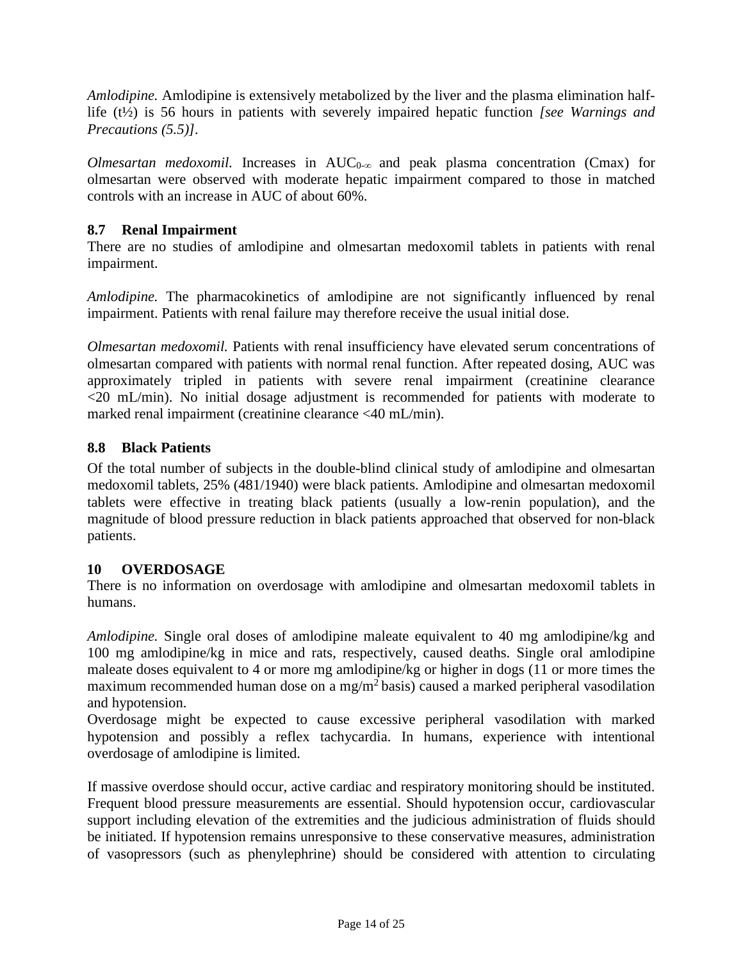*Amlodipine.* Amlodipine is extensively metabolized by the liver and the plasma elimination halflife (t½) is 56 hours in patients with severely impaired hepatic function *[see Warnings and Precautions [\(5.5\)\]](#page-5-6).*

*Olmesartan medoxomil.* Increases in  $AUC_{0-\infty}$  and peak plasma concentration (Cmax) for olmesartan were observed with moderate hepatic impairment compared to those in matched controls with an increase in AUC of about 60%.

# **8.7 Renal Impairment**

There are no studies of amlodipine and olmesartan medoxomil tablets in patients with renal impairment.

*Amlodipine.* The pharmacokinetics of amlodipine are not significantly influenced by renal impairment. Patients with renal failure may therefore receive the usual initial dose.

*Olmesartan medoxomil.* Patients with renal insufficiency have elevated serum concentrations of olmesartan compared with patients with normal renal function. After repeated dosing, AUC was approximately tripled in patients with severe renal impairment (creatinine clearance <20 mL/min). No initial dosage adjustment is recommended for patients with moderate to marked renal impairment (creatinine clearance <40 mL/min).

# <span id="page-13-0"></span>**8.8 Black Patients**

Of the total number of subjects in the double-blind clinical study of amlodipine and olmesartan medoxomil tablets, 25% (481/1940) were black patients. Amlodipine and olmesartan medoxomil tablets were effective in treating black patients (usually a low-renin population), and the magnitude of blood pressure reduction in black patients approached that observed for non-black patients.

# <span id="page-13-1"></span>**10 OVERDOSAGE**

There is no information on overdosage with amlodipine and olmesartan medoxomil tablets in humans.

*Amlodipine.* Single oral doses of amlodipine maleate equivalent to 40 mg amlodipine/kg and 100 mg amlodipine/kg in mice and rats, respectively, caused deaths. Single oral amlodipine maleate doses equivalent to 4 or more mg amlodipine/kg or higher in dogs (11 or more times the maximum recommended human dose on a mg/m<sup>2</sup> basis) caused a marked peripheral vasodilation and hypotension.

Overdosage might be expected to cause excessive peripheral vasodilation with marked hypotension and possibly a reflex tachycardia. In humans, experience with intentional overdosage of amlodipine is limited.

If massive overdose should occur, active cardiac and respiratory monitoring should be instituted. Frequent blood pressure measurements are essential. Should hypotension occur, cardiovascular support including elevation of the extremities and the judicious administration of fluids should be initiated. If hypotension remains unresponsive to these conservative measures, administration of vasopressors (such as phenylephrine) should be considered with attention to circulating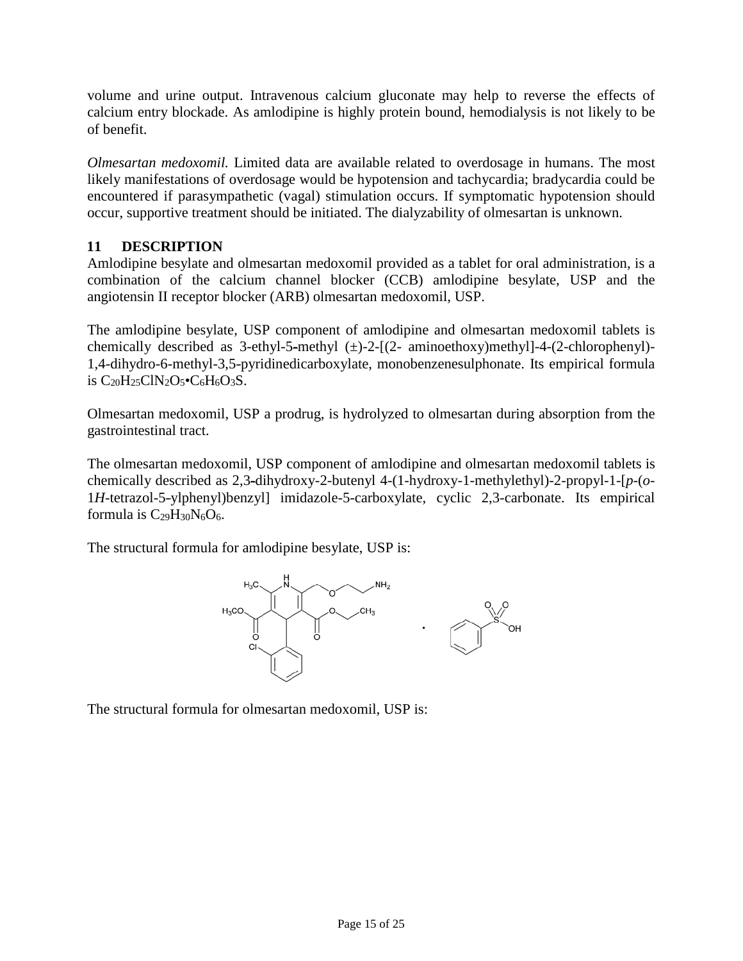volume and urine output. Intravenous calcium gluconate may help to reverse the effects of calcium entry blockade. As amlodipine is highly protein bound, hemodialysis is not likely to be of benefit.

*Olmesartan medoxomil.* Limited data are available related to overdosage in humans. The most likely manifestations of overdosage would be hypotension and tachycardia; bradycardia could be encountered if parasympathetic (vagal) stimulation occurs. If symptomatic hypotension should occur, supportive treatment should be initiated. The dialyzability of olmesartan is unknown.

# <span id="page-14-0"></span>**11 DESCRIPTION**

Amlodipine besylate and olmesartan medoxomil provided as a tablet for oral administration, is a combination of the calcium channel blocker (CCB) amlodipine besylate, USP and the angiotensin II receptor blocker (ARB) olmesartan medoxomil, USP.

The amlodipine besylate, USP component of amlodipine and olmesartan medoxomil tablets is chemically described as 3-ethyl-5-methyl (±)-2-[(2- aminoethoxy)methyl]-4-(2-chlorophenyl)- 1,4-dihydro-6-methyl-3,5-pyridinedicarboxylate, monobenzenesulphonate. Its empirical formula is  $C_{20}H_{25}CIN_{2}O_{5}\bullet C_{6}H_{6}O_{3}S$ .

Olmesartan medoxomil, USP a prodrug, is hydrolyzed to olmesartan during absorption from the gastrointestinal tract.

The olmesartan medoxomil, USP component of amlodipine and olmesartan medoxomil tablets is chemically described as 2,3-dihydroxy-2-butenyl 4-(1-hydroxy-1-methylethyl)-2-propyl-1-[*p-*(*o-*1*H*-tetrazol-5-ylphenyl)benzyl] imidazole-5-carboxylate, cyclic 2,3-carbonate. Its empirical formula is  $C_{29}H_{30}N_6O_6$ .

The structural formula for amlodipine besylate, USP is:



The structural formula for olmesartan medoxomil, USP is: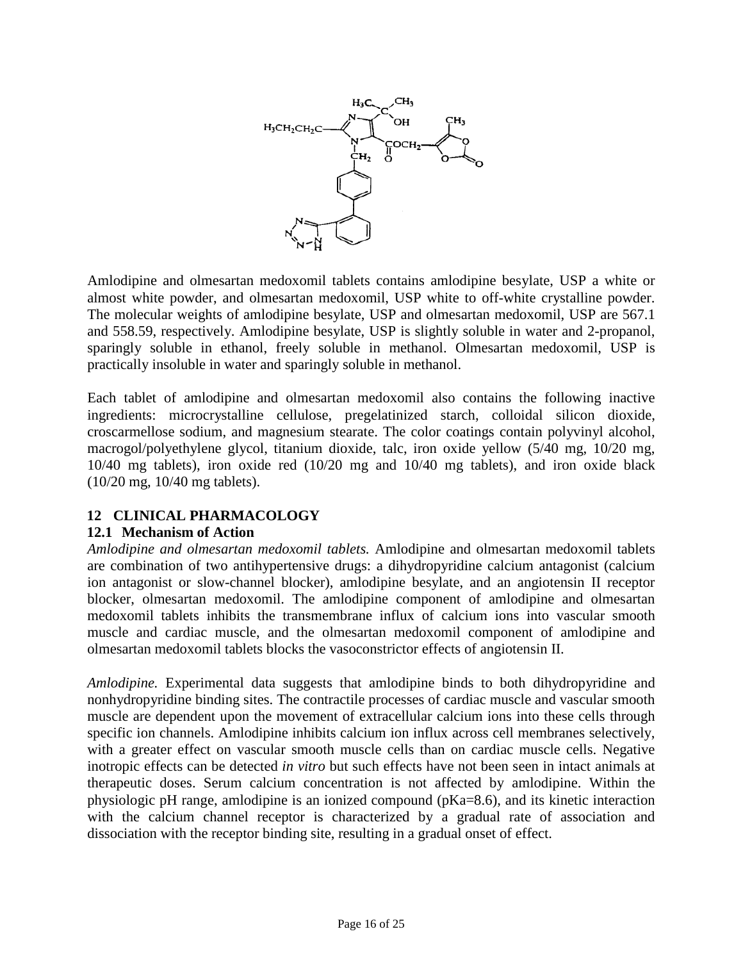

Amlodipine and olmesartan medoxomil tablets contains amlodipine besylate, USP a white or almost white powder, and olmesartan medoxomil, USP white to off-white crystalline powder. The molecular weights of amlodipine besylate, USP and olmesartan medoxomil, USP are 567.1 and 558.59, respectively. Amlodipine besylate, USP is slightly soluble in water and 2-propanol, sparingly soluble in ethanol, freely soluble in methanol. Olmesartan medoxomil, USP is practically insoluble in water and sparingly soluble in methanol.

Each tablet of amlodipine and olmesartan medoxomil also contains the following inactive ingredients: microcrystalline cellulose, pregelatinized starch, colloidal silicon dioxide, croscarmellose sodium, and magnesium stearate. The color coatings contain polyvinyl alcohol, macrogol/polyethylene glycol, titanium dioxide, talc, iron oxide yellow (5/40 mg, 10/20 mg, 10/40 mg tablets), iron oxide red (10/20 mg and 10/40 mg tablets), and iron oxide black (10/20 mg, 10/40 mg tablets).

# <span id="page-15-0"></span>**12 CLINICAL PHARMACOLOGY**

### <span id="page-15-1"></span>**12.1 Mechanism of Action**

*Amlodipine and olmesartan medoxomil tablets.* Amlodipine and olmesartan medoxomil tablets are combination of two antihypertensive drugs: a dihydropyridine calcium antagonist (calcium ion antagonist or slow-channel blocker), amlodipine besylate, and an angiotensin II receptor blocker, olmesartan medoxomil. The amlodipine component of amlodipine and olmesartan medoxomil tablets inhibits the transmembrane influx of calcium ions into vascular smooth muscle and cardiac muscle, and the olmesartan medoxomil component of amlodipine and olmesartan medoxomil tablets blocks the vasoconstrictor effects of angiotensin II.

*Amlodipine.* Experimental data suggests that amlodipine binds to both dihydropyridine and nonhydropyridine binding sites. The contractile processes of cardiac muscle and vascular smooth muscle are dependent upon the movement of extracellular calcium ions into these cells through specific ion channels. Amlodipine inhibits calcium ion influx across cell membranes selectively, with a greater effect on vascular smooth muscle cells than on cardiac muscle cells. Negative inotropic effects can be detected *in vitro* but such effects have not been seen in intact animals at therapeutic doses. Serum calcium concentration is not affected by amlodipine. Within the physiologic pH range, amlodipine is an ionized compound (pKa=8.6), and its kinetic interaction with the calcium channel receptor is characterized by a gradual rate of association and dissociation with the receptor binding site, resulting in a gradual onset of effect.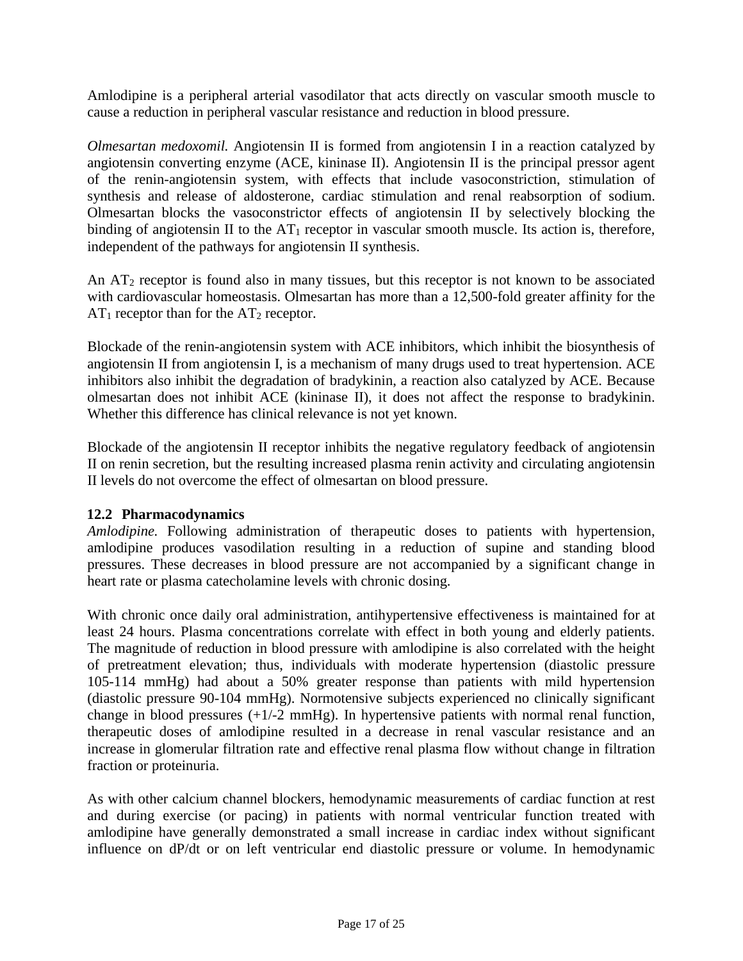Amlodipine is a peripheral arterial vasodilator that acts directly on vascular smooth muscle to cause a reduction in peripheral vascular resistance and reduction in blood pressure.

*Olmesartan medoxomil.* Angiotensin II is formed from angiotensin I in a reaction catalyzed by angiotensin converting enzyme (ACE, kininase II). Angiotensin II is the principal pressor agent of the renin-angiotensin system, with effects that include vasoconstriction, stimulation of synthesis and release of aldosterone, cardiac stimulation and renal reabsorption of sodium. Olmesartan blocks the vasoconstrictor effects of angiotensin II by selectively blocking the binding of angiotensin II to the  $AT_1$  receptor in vascular smooth muscle. Its action is, therefore, independent of the pathways for angiotensin II synthesis.

An AT2 receptor is found also in many tissues, but this receptor is not known to be associated with cardiovascular homeostasis. Olmesartan has more than a 12,500-fold greater affinity for the  $AT_1$  receptor than for the  $AT_2$  receptor.

Blockade of the renin-angiotensin system with ACE inhibitors, which inhibit the biosynthesis of angiotensin II from angiotensin I, is a mechanism of many drugs used to treat hypertension. ACE inhibitors also inhibit the degradation of bradykinin, a reaction also catalyzed by ACE. Because olmesartan does not inhibit ACE (kininase II), it does not affect the response to bradykinin. Whether this difference has clinical relevance is not yet known.

Blockade of the angiotensin II receptor inhibits the negative regulatory feedback of angiotensin II on renin secretion, but the resulting increased plasma renin activity and circulating angiotensin II levels do not overcome the effect of olmesartan on blood pressure.

# <span id="page-16-0"></span>**12.2 Pharmacodynamics**

*Amlodipine.* Following administration of therapeutic doses to patients with hypertension, amlodipine produces vasodilation resulting in a reduction of supine and standing blood pressures. These decreases in blood pressure are not accompanied by a significant change in heart rate or plasma catecholamine levels with chronic dosing.

With chronic once daily oral administration, antihypertensive effectiveness is maintained for at least 24 hours. Plasma concentrations correlate with effect in both young and elderly patients. The magnitude of reduction in blood pressure with amlodipine is also correlated with the height of pretreatment elevation; thus, individuals with moderate hypertension (diastolic pressure 105-114 mmHg) had about a 50% greater response than patients with mild hypertension (diastolic pressure 90-104 mmHg). Normotensive subjects experienced no clinically significant change in blood pressures  $(+1/2 \text{ mmHg})$ . In hypertensive patients with normal renal function, therapeutic doses of amlodipine resulted in a decrease in renal vascular resistance and an increase in glomerular filtration rate and effective renal plasma flow without change in filtration fraction or proteinuria.

As with other calcium channel blockers, hemodynamic measurements of cardiac function at rest and during exercise (or pacing) in patients with normal ventricular function treated with amlodipine have generally demonstrated a small increase in cardiac index without significant influence on dP/dt or on left ventricular end diastolic pressure or volume. In hemodynamic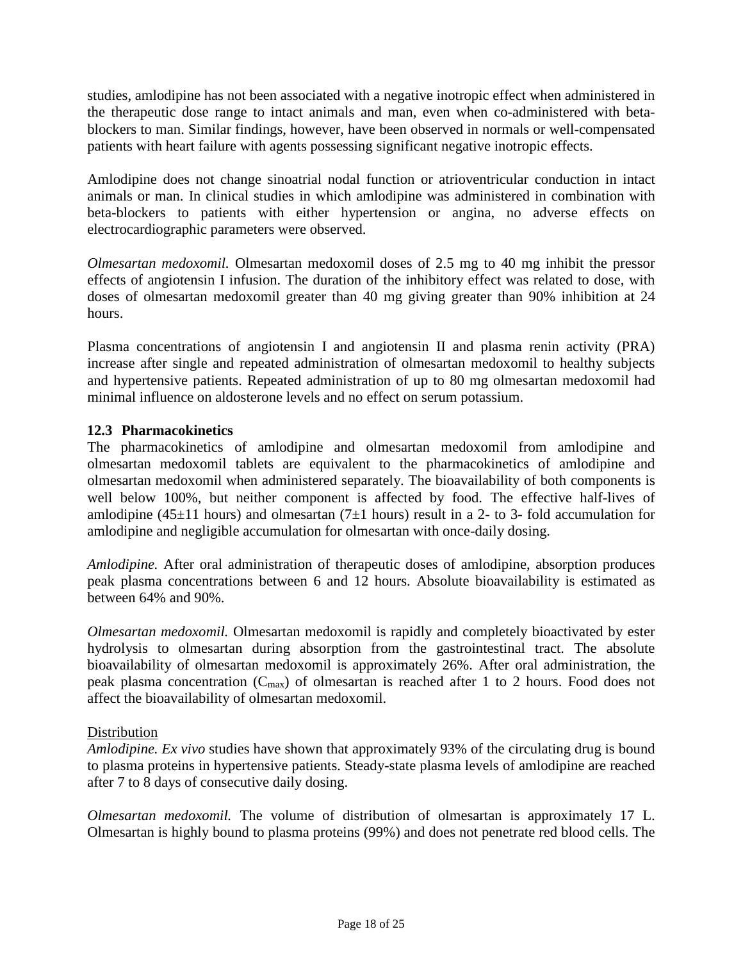studies, amlodipine has not been associated with a negative inotropic effect when administered in the therapeutic dose range to intact animals and man, even when co-administered with betablockers to man. Similar findings, however, have been observed in normals or well-compensated patients with heart failure with agents possessing significant negative inotropic effects.

Amlodipine does not change sinoatrial nodal function or atrioventricular conduction in intact animals or man. In clinical studies in which amlodipine was administered in combination with beta-blockers to patients with either hypertension or angina, no adverse effects on electrocardiographic parameters were observed.

*Olmesartan medoxomil.* Olmesartan medoxomil doses of 2.5 mg to 40 mg inhibit the pressor effects of angiotensin I infusion. The duration of the inhibitory effect was related to dose, with doses of olmesartan medoxomil greater than 40 mg giving greater than 90% inhibition at 24 hours.

Plasma concentrations of angiotensin I and angiotensin II and plasma renin activity (PRA) increase after single and repeated administration of olmesartan medoxomil to healthy subjects and hypertensive patients. Repeated administration of up to 80 mg olmesartan medoxomil had minimal influence on aldosterone levels and no effect on serum potassium.

# <span id="page-17-1"></span><span id="page-17-0"></span>**12.3 Pharmacokinetics**

The pharmacokinetics of amlodipine and olmesartan medoxomil from amlodipine and olmesartan medoxomil tablets are equivalent to the pharmacokinetics of amlodipine and olmesartan medoxomil when administered separately. The bioavailability of both components is well below 100%, but neither component is affected by food. The effective half-lives of amlodipine (45 $\pm$ 11 hours) and olmesartan (7 $\pm$ 1 hours) result in a 2- to 3- fold accumulation for amlodipine and negligible accumulation for olmesartan with once-daily dosing.

*Amlodipine.* After oral administration of therapeutic doses of amlodipine, absorption produces peak plasma concentrations between 6 and 12 hours. Absolute bioavailability is estimated as between 64% and 90%.

*Olmesartan medoxomil.* Olmesartan medoxomil is rapidly and completely bioactivated by ester hydrolysis to olmesartan during absorption from the gastrointestinal tract. The absolute bioavailability of olmesartan medoxomil is approximately 26%. After oral administration, the peak plasma concentration (Cmax) of olmesartan is reached after 1 to 2 hours. Food does not affect the bioavailability of olmesartan medoxomil.

# **Distribution**

*Amlodipine. Ex vivo* studies have shown that approximately 93% of the circulating drug is bound to plasma proteins in hypertensive patients. Steady-state plasma levels of amlodipine are reached after 7 to 8 days of consecutive daily dosing.

*Olmesartan medoxomil.* The volume of distribution of olmesartan is approximately 17 L. Olmesartan is highly bound to plasma proteins (99%) and does not penetrate red blood cells. The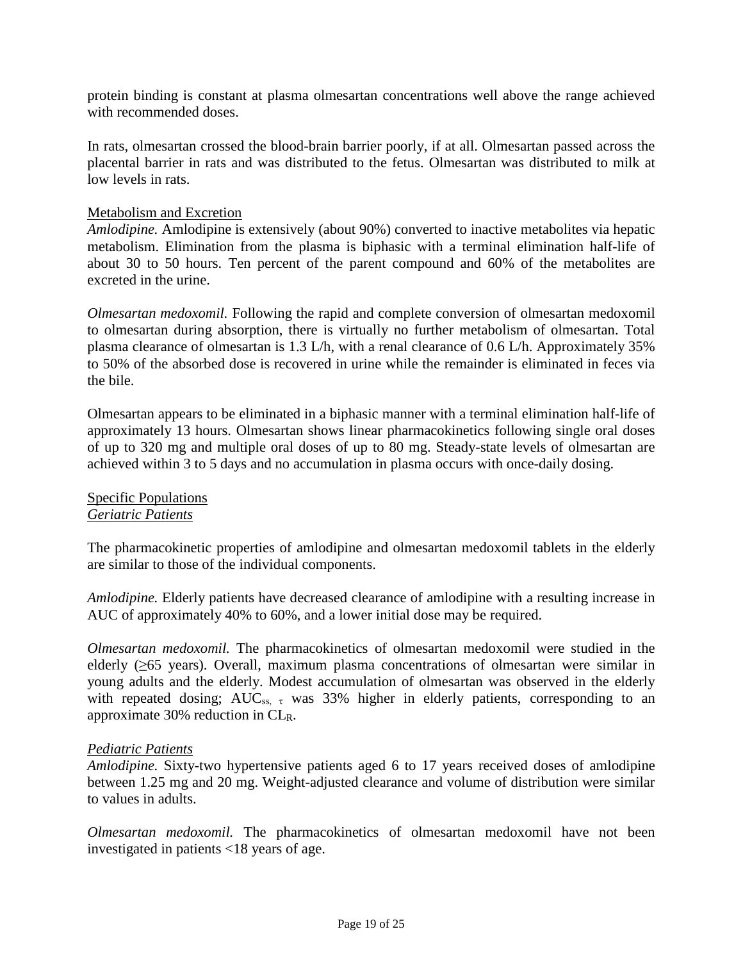protein binding is constant at plasma olmesartan concentrations well above the range achieved with recommended doses.

In rats, olmesartan crossed the blood-brain barrier poorly, if at all. Olmesartan passed across the placental barrier in rats and was distributed to the fetus. Olmesartan was distributed to milk at low levels in rats.

#### Metabolism and Excretion

*Amlodipine.* Amlodipine is extensively (about 90%) converted to inactive metabolites via hepatic metabolism. Elimination from the plasma is biphasic with a terminal elimination half-life of about 30 to 50 hours. Ten percent of the parent compound and 60% of the metabolites are excreted in the urine.

*Olmesartan medoxomil.* Following the rapid and complete conversion of olmesartan medoxomil to olmesartan during absorption, there is virtually no further metabolism of olmesartan. Total plasma clearance of olmesartan is 1.3 L/h, with a renal clearance of 0.6 L/h. Approximately 35% to 50% of the absorbed dose is recovered in urine while the remainder is eliminated in feces via the bile.

Olmesartan appears to be eliminated in a biphasic manner with a terminal elimination half-life of approximately 13 hours. Olmesartan shows linear pharmacokinetics following single oral doses of up to 320 mg and multiple oral doses of up to 80 mg. Steady-state levels of olmesartan are achieved within 3 to 5 days and no accumulation in plasma occurs with once-daily dosing.

Specific Populations *Geriatric Patients*

The pharmacokinetic properties of amlodipine and olmesartan medoxomil tablets in the elderly are similar to those of the individual components.

*Amlodipine.* Elderly patients have decreased clearance of amlodipine with a resulting increase in AUC of approximately 40% to 60%, and a lower initial dose may be required.

*Olmesartan medoxomil.* The pharmacokinetics of olmesartan medoxomil were studied in the elderly (≥65 years). Overall, maximum plasma concentrations of olmesartan were similar in young adults and the elderly. Modest accumulation of olmesartan was observed in the elderly with repeated dosing; AUC<sub>ss, τ</sub> was 33% higher in elderly patients, corresponding to an approximate 30% reduction in CLR.

#### *Pediatric Patients*

*Amlodipine.* Sixty-two hypertensive patients aged 6 to 17 years received doses of amlodipine between 1.25 mg and 20 mg. Weight-adjusted clearance and volume of distribution were similar to values in adults.

*Olmesartan medoxomil.* The pharmacokinetics of olmesartan medoxomil have not been investigated in patients <18 years of age.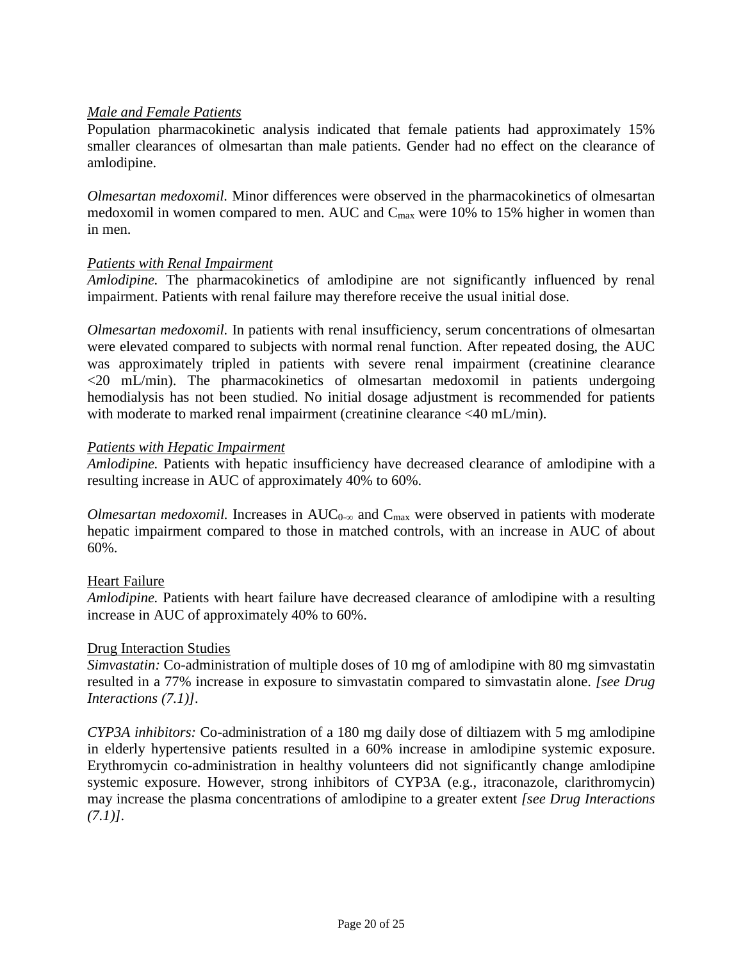## *Male and Female Patients*

Population pharmacokinetic analysis indicated that female patients had approximately 15% smaller clearances of olmesartan than male patients. Gender had no effect on the clearance of amlodipine.

*Olmesartan medoxomil.* Minor differences were observed in the pharmacokinetics of olmesartan medoxomil in women compared to men. AUC and  $C_{\text{max}}$  were 10% to 15% higher in women than in men.

### *Patients with Renal Impairment*

*Amlodipine.* The pharmacokinetics of amlodipine are not significantly influenced by renal impairment. Patients with renal failure may therefore receive the usual initial dose.

*Olmesartan medoxomil.* In patients with renal insufficiency, serum concentrations of olmesartan were elevated compared to subjects with normal renal function. After repeated dosing, the AUC was approximately tripled in patients with severe renal impairment (creatinine clearance <20 mL/min). The pharmacokinetics of olmesartan medoxomil in patients undergoing hemodialysis has not been studied. No initial dosage adjustment is recommended for patients with moderate to marked renal impairment (creatinine clearance <40 mL/min).

### *Patients with Hepatic Impairment*

*Amlodipine.* Patients with hepatic insufficiency have decreased clearance of amlodipine with a resulting increase in AUC of approximately 40% to 60%.

*Olmesartan medoxomil.* Increases in  $AUC_{0-\infty}$  and  $C_{\max}$  were observed in patients with moderate hepatic impairment compared to those in matched controls, with an increase in AUC of about 60%.

### Heart Failure

*Amlodipine.* Patients with heart failure have decreased clearance of amlodipine with a resulting increase in AUC of approximately 40% to 60%.

### Drug Interaction Studies

*Simvastatin:* Co-administration of multiple doses of 10 mg of amlodipine with 80 mg simvastatin resulted in a 77% increase in exposure to simvastatin compared to simvastatin alone. *[see Drug Interactions [\(7.1\)\]](#page-9-2).* 

*CYP3A inhibitors:* Co-administration of a 180 mg daily dose of diltiazem with 5 mg amlodipine in elderly hypertensive patients resulted in a 60% increase in amlodipine systemic exposure. Erythromycin co-administration in healthy volunteers did not significantly change amlodipine systemic exposure. However, strong inhibitors of CYP3A (e.g., itraconazole, clarithromycin) may increase the plasma concentrations of amlodipine to a greater extent *[see Drug Interactions*   $(7.1)$ ].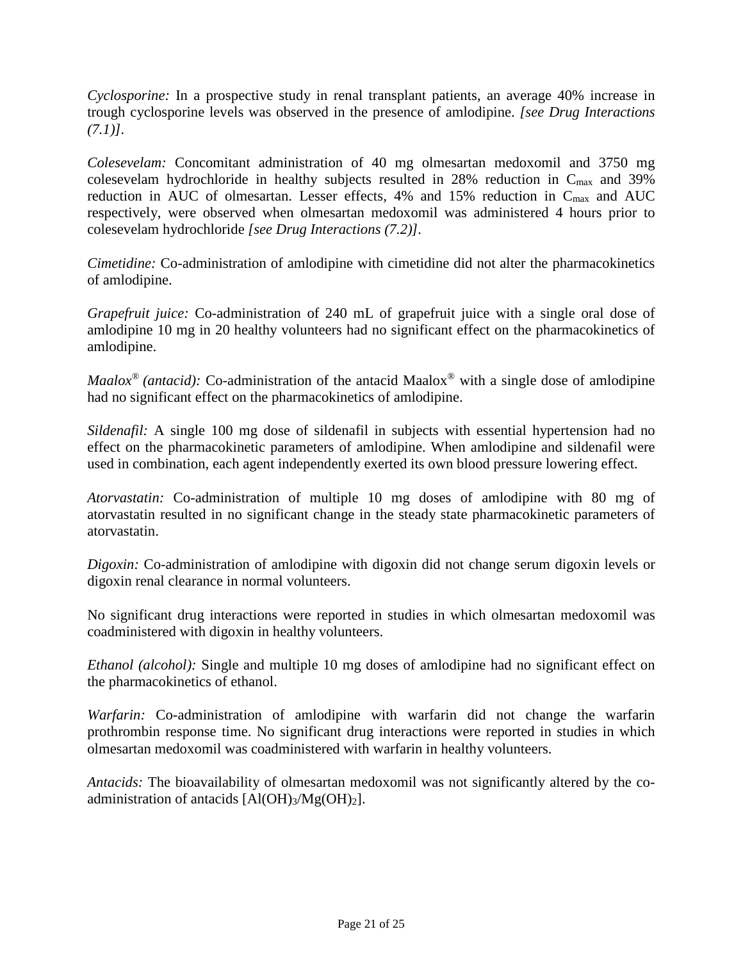*Cyclosporine:* In a prospective study in renal transplant patients, an average 40% increase in trough cyclosporine levels was observed in the presence of amlodipine. *[see Drug Interactions [\(7.1\)\]](#page-9-2).* 

*Colesevelam:* Concomitant administration of 40 mg olmesartan medoxomil and 3750 mg colesevelam hydrochloride in healthy subjects resulted in 28% reduction in Cmax and 39% reduction in AUC of olmesartan. Lesser effects, 4% and 15% reduction in C<sub>max</sub> and AUC respectively, were observed when olmesartan medoxomil was administered 4 hours prior to colesevelam hydrochloride *[see Drug Interactions [\(7.2\)\]](#page-9-3).* 

*Cimetidine:* Co-administration of amlodipine with cimetidine did not alter the pharmacokinetics of amlodipine.

*Grapefruit juice:* Co-administration of 240 mL of grapefruit juice with a single oral dose of amlodipine 10 mg in 20 healthy volunteers had no significant effect on the pharmacokinetics of amlodipine.

*Maalox<sup>®</sup> (antacid):* Co-administration of the antacid Maalox<sup>®</sup> with a single dose of amlodipine had no significant effect on the pharmacokinetics of amlodipine.

*Sildenafil:* A single 100 mg dose of sildenafil in subjects with essential hypertension had no effect on the pharmacokinetic parameters of amlodipine. When amlodipine and sildenafil were used in combination, each agent independently exerted its own blood pressure lowering effect.

*Atorvastatin:* Co-administration of multiple 10 mg doses of amlodipine with 80 mg of atorvastatin resulted in no significant change in the steady state pharmacokinetic parameters of atorvastatin.

*Digoxin:* Co-administration of amlodipine with digoxin did not change serum digoxin levels or digoxin renal clearance in normal volunteers.

No significant drug interactions were reported in studies in which olmesartan medoxomil was coadministered with digoxin in healthy volunteers.

*Ethanol (alcohol):* Single and multiple 10 mg doses of amlodipine had no significant effect on the pharmacokinetics of ethanol.

*Warfarin:* Co-administration of amlodipine with warfarin did not change the warfarin prothrombin response time. No significant drug interactions were reported in studies in which olmesartan medoxomil was coadministered with warfarin in healthy volunteers.

*Antacids:* The bioavailability of olmesartan medoxomil was not significantly altered by the coadministration of antacids  $[A(OH)<sub>3</sub>/Mg(OH)<sub>2</sub>]$ .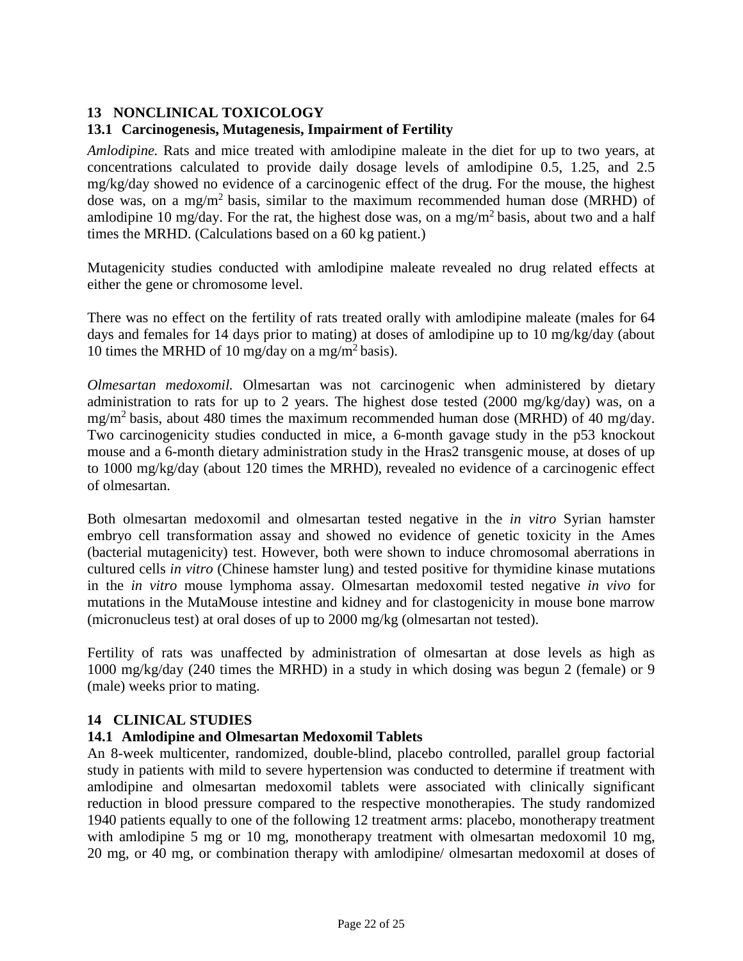# <span id="page-21-4"></span><span id="page-21-2"></span><span id="page-21-0"></span>**13 NONCLINICAL TOXICOLOGY**

# <span id="page-21-1"></span>**13.1 Carcinogenesis, Mutagenesis, Impairment of Fertility**

*Amlodipine.* Rats and mice treated with amlodipine maleate in the diet for up to two years, at concentrations calculated to provide daily dosage levels of amlodipine 0.5, 1.25, and 2.5 mg/kg/day showed no evidence of a carcinogenic effect of the drug. For the mouse, the highest dose was, on a mg/m<sup>2</sup> basis, similar to the maximum recommended human dose (MRHD) of amlodipine 10 mg/day. For the rat, the highest dose was, on a mg/m<sup>2</sup> basis, about two and a half times the MRHD. (Calculations based on a 60 kg patient.)

Mutagenicity studies conducted with amlodipine maleate revealed no drug related effects at either the gene or chromosome level.

There was no effect on the fertility of rats treated orally with amlodipine maleate (males for 64 days and females for 14 days prior to mating) at doses of amlodipine up to 10 mg/kg/day (about 10 times the MRHD of 10 mg/day on a mg/m<sup>2</sup> basis).

*Olmesartan medoxomil.* Olmesartan was not carcinogenic when administered by dietary administration to rats for up to 2 years. The highest dose tested (2000 mg/kg/day) was, on a  $mg/m<sup>2</sup>$  basis, about 480 times the maximum recommended human dose (MRHD) of 40 mg/day. Two carcinogenicity studies conducted in mice, a 6-month gavage study in the p53 knockout mouse and a 6-month dietary administration study in the Hras2 transgenic mouse, at doses of up to 1000 mg/kg/day (about 120 times the MRHD), revealed no evidence of a carcinogenic effect of olmesartan.

Both olmesartan medoxomil and olmesartan tested negative in the *in vitro* Syrian hamster embryo cell transformation assay and showed no evidence of genetic toxicity in the Ames (bacterial mutagenicity) test. However, both were shown to induce chromosomal aberrations in cultured cells *in vitro* (Chinese hamster lung) and tested positive for thymidine kinase mutations in the *in vitro* mouse lymphoma assay. Olmesartan medoxomil tested negative *in vivo* for mutations in the MutaMouse intestine and kidney and for clastogenicity in mouse bone marrow (micronucleus test) at oral doses of up to 2000 mg/kg (olmesartan not tested).

Fertility of rats was unaffected by administration of olmesartan at dose levels as high as 1000 mg/kg/day (240 times the MRHD) in a study in which dosing was begun 2 (female) or 9 (male) weeks prior to mating.

# <span id="page-21-3"></span>**14 CLINICAL STUDIES**

### **14.1 Amlodipine and Olmesartan Medoxomil Tablets**

An 8-week multicenter, randomized, double-blind, placebo controlled, parallel group factorial study in patients with mild to severe hypertension was conducted to determine if treatment with amlodipine and olmesartan medoxomil tablets were associated with clinically significant reduction in blood pressure compared to the respective monotherapies. The study randomized 1940 patients equally to one of the following 12 treatment arms: placebo, monotherapy treatment with amlodipine 5 mg or 10 mg, monotherapy treatment with olmesartan medoxomil 10 mg, 20 mg, or 40 mg, or combination therapy with amlodipine/ olmesartan medoxomil at doses of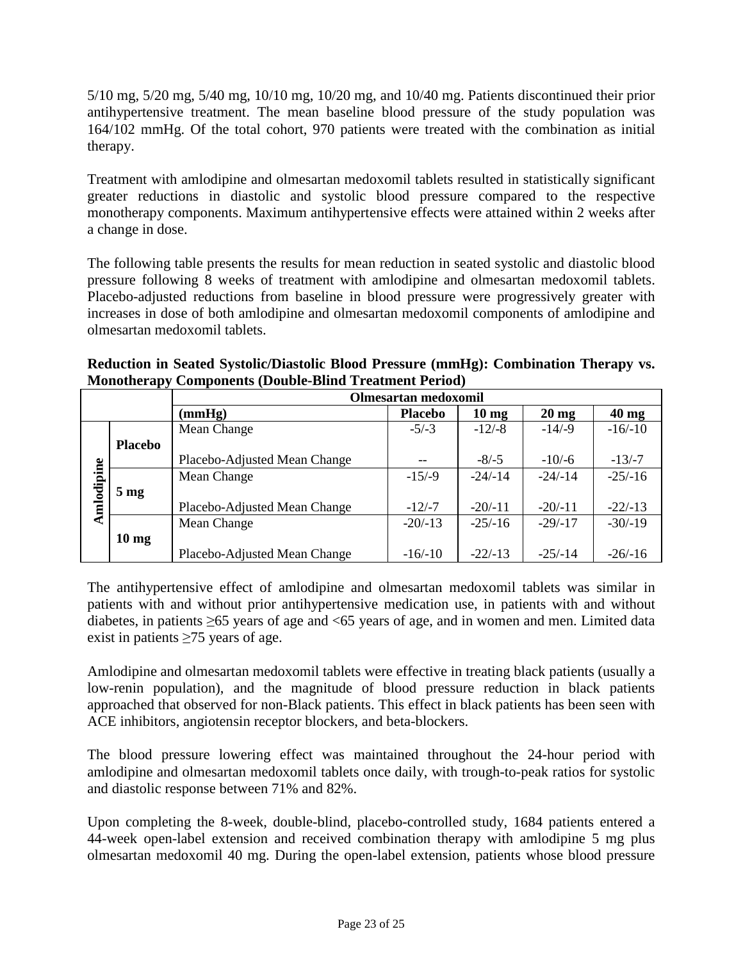<span id="page-22-0"></span>5/10 mg, 5/20 mg, 5/40 mg, 10/10 mg, 10/20 mg, and 10/40 mg. Patients discontinued their prior antihypertensive treatment. The mean baseline blood pressure of the study population was 164/102 mmHg. Of the total cohort, 970 patients were treated with the combination as initial therapy.

Treatment with amlodipine and olmesartan medoxomil tablets resulted in statistically significant greater reductions in diastolic and systolic blood pressure compared to the respective monotherapy components. Maximum antihypertensive effects were attained within 2 weeks after a change in dose.

The following table presents the results for mean reduction in seated systolic and diastolic blood pressure following 8 weeks of treatment with amlodipine and olmesartan medoxomil tablets. Placebo-adjusted reductions from baseline in blood pressure were progressively greater with increases in dose of both amlodipine and olmesartan medoxomil components of amlodipine and olmesartan medoxomil tablets.

| Reduction in Seated Systolic/Diastolic Blood Pressure (mmHg): Combination Therapy vs. |  |
|---------------------------------------------------------------------------------------|--|
| <b>Monotherapy Components (Double-Blind Treatment Period)</b>                         |  |

|           |                  | <b>Olmesartan medoxomil</b>  |                |                 |                 |                 |
|-----------|------------------|------------------------------|----------------|-----------------|-----------------|-----------------|
|           |                  | (mmHg)                       | <b>Placebo</b> | $10 \text{ mg}$ | $20 \text{ mg}$ | $40 \text{ mg}$ |
|           |                  | Mean Change                  | $-5/-3$        | $-12/-8$        | $-14/-9$        | $-16/-10$       |
|           | <b>Placebo</b>   |                              |                |                 |                 |                 |
|           |                  | Placebo-Adjusted Mean Change |                | $-8/-5$         | $-10/-6$        | $-13/-7$        |
| mlodipine |                  | Mean Change                  | $-15/-9$       | $-24/-14$       | $-24/ -14$      | $-25/ -16$      |
|           | 5 <sub>mg</sub>  |                              |                |                 |                 |                 |
|           |                  | Placebo-Adjusted Mean Change | $-12/-7$       | $-20/11$        | $-20/11$        | $-22/-13$       |
|           |                  | Mean Change                  | $-20/-13$      | $-25/ -16$      | $-29/ -17$      | $-30/-19$       |
|           | 10 <sub>mg</sub> |                              |                |                 |                 |                 |
|           |                  | Placebo-Adjusted Mean Change | $-16/-10$      | $-22/-13$       | $-25/ -14$      | $-26/ -16$      |

The antihypertensive effect of amlodipine and olmesartan medoxomil tablets was similar in patients with and without prior antihypertensive medication use, in patients with and without diabetes, in patients ≥65 years of age and <65 years of age, and in women and men. Limited data exist in patients  $\geq$ 75 years of age.

Amlodipine and olmesartan medoxomil tablets were effective in treating black patients (usually a low-renin population), and the magnitude of blood pressure reduction in black patients approached that observed for non-Black patients. This effect in black patients has been seen with ACE inhibitors, angiotensin receptor blockers, and beta-blockers.

The blood pressure lowering effect was maintained throughout the 24-hour period with amlodipine and olmesartan medoxomil tablets once daily, with trough-to-peak ratios for systolic and diastolic response between 71% and 82%.

Upon completing the 8-week, double-blind, placebo-controlled study, 1684 patients entered a 44-week open-label extension and received combination therapy with amlodipine 5 mg plus olmesartan medoxomil 40 mg. During the open-label extension, patients whose blood pressure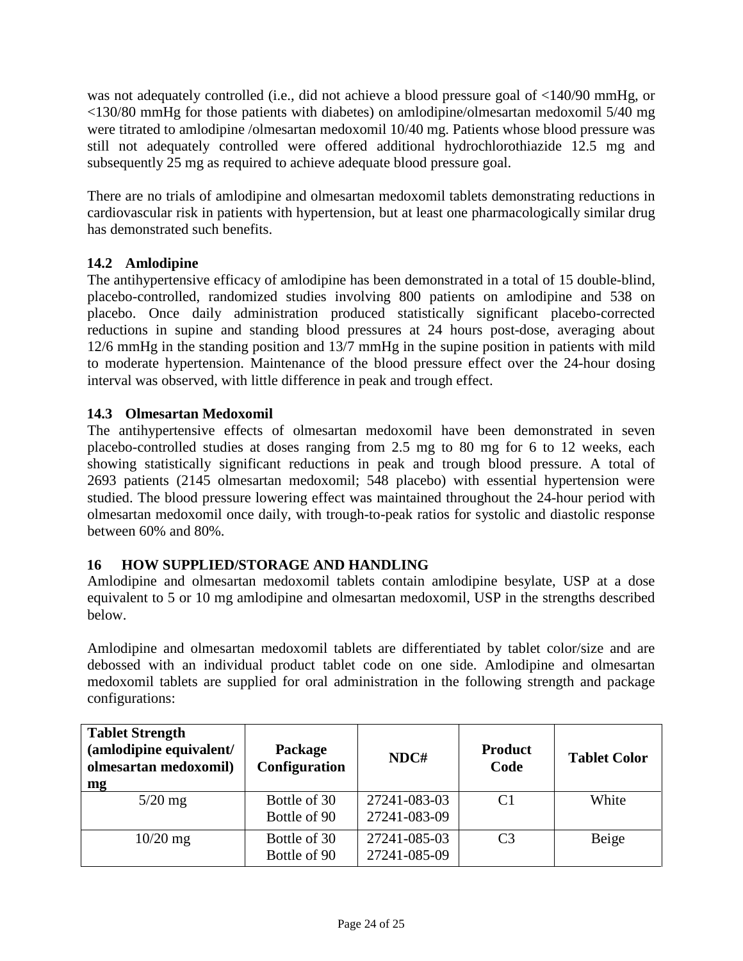was not adequately controlled (i.e., did not achieve a blood pressure goal of <140/90 mmHg, or <130/80 mmHg for those patients with diabetes) on amlodipine/olmesartan medoxomil 5/40 mg were titrated to amlodipine /olmesartan medoxomil 10/40 mg. Patients whose blood pressure was still not adequately controlled were offered additional hydrochlorothiazide 12.5 mg and subsequently 25 mg as required to achieve adequate blood pressure goal.

There are no trials of amlodipine and olmesartan medoxomil tablets demonstrating reductions in cardiovascular risk in patients with hypertension, but at least one pharmacologically similar drug has demonstrated such benefits.

# <span id="page-23-0"></span>**14.2 Amlodipine**

The antihypertensive efficacy of amlodipine has been demonstrated in a total of 15 double-blind, placebo-controlled, randomized studies involving 800 patients on amlodipine and 538 on placebo. Once daily administration produced statistically significant placebo-corrected reductions in supine and standing blood pressures at 24 hours post-dose, averaging about 12/6 mmHg in the standing position and 13/7 mmHg in the supine position in patients with mild to moderate hypertension. Maintenance of the blood pressure effect over the 24-hour dosing interval was observed, with little difference in peak and trough effect.

# <span id="page-23-1"></span>**14.3 Olmesartan Medoxomil**

The antihypertensive effects of olmesartan medoxomil have been demonstrated in seven placebo-controlled studies at doses ranging from 2.5 mg to 80 mg for 6 to 12 weeks, each showing statistically significant reductions in peak and trough blood pressure. A total of 2693 patients (2145 olmesartan medoxomil; 548 placebo) with essential hypertension were studied. The blood pressure lowering effect was maintained throughout the 24-hour period with olmesartan medoxomil once daily, with trough-to-peak ratios for systolic and diastolic response between 60% and 80%.

# <span id="page-23-2"></span>**16 HOW SUPPLIED/STORAGE AND HANDLING**

Amlodipine and olmesartan medoxomil tablets contain amlodipine besylate, USP at a dose equivalent to 5 or 10 mg amlodipine and olmesartan medoxomil, USP in the strengths described below.

Amlodipine and olmesartan medoxomil tablets are differentiated by tablet color/size and are debossed with an individual product tablet code on one side. Amlodipine and olmesartan medoxomil tablets are supplied for oral administration in the following strength and package configurations:

| <b>Tablet Strength</b><br>(amlodipine equivalent/<br>olmesartan medoxomil)<br>mg | Package<br>Configuration     | NDC#                         | <b>Product</b><br>Code | <b>Tablet Color</b> |
|----------------------------------------------------------------------------------|------------------------------|------------------------------|------------------------|---------------------|
| $5/20$ mg                                                                        | Bottle of 30<br>Bottle of 90 | 27241-083-03<br>27241-083-09 | C <sub>1</sub>         | White               |
| $10/20$ mg                                                                       | Bottle of 30<br>Bottle of 90 | 27241-085-03<br>27241-085-09 | C <sub>3</sub>         | Beige               |